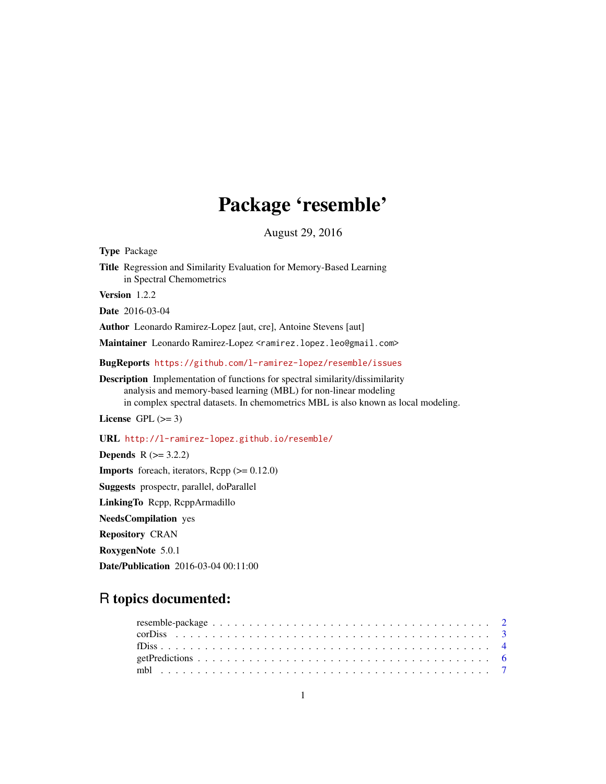# Package 'resemble'

August 29, 2016

<span id="page-0-0"></span>Type Package Title Regression and Similarity Evaluation for Memory-Based Learning in Spectral Chemometrics Version 1.2.2 Date 2016-03-04 Author Leonardo Ramirez-Lopez [aut, cre], Antoine Stevens [aut] Maintainer Leonardo Ramirez-Lopez <ramirez.lopez.leo@gmail.com> BugReports <https://github.com/l-ramirez-lopez/resemble/issues> Description Implementation of functions for spectral similarity/dissimilarity analysis and memory-based learning (MBL) for non-linear modeling in complex spectral datasets. In chemometrics MBL is also known as local modeling. License GPL  $(>= 3)$ URL <http://l-ramirez-lopez.github.io/resemble/> **Depends**  $R$  ( $>= 3.2.2$ ) **Imports** foreach, iterators,  $\text{Rcpp} (> = 0.12.0)$ Suggests prospectr, parallel, doParallel

LinkingTo Rcpp, RcppArmadillo

NeedsCompilation yes

Repository CRAN

RoxygenNote 5.0.1

Date/Publication 2016-03-04 00:11:00

# R topics documented: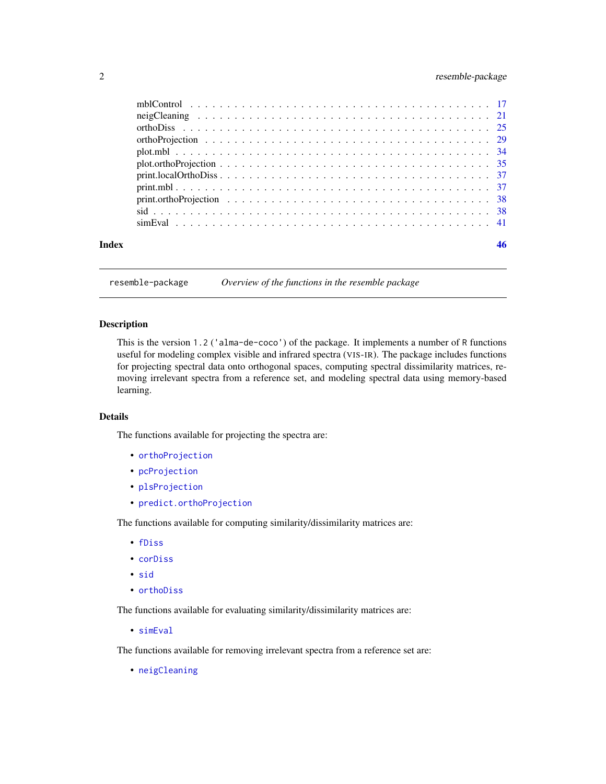# <span id="page-1-0"></span>2 resemble-package

| Index | 46 |
|-------|----|
|       |    |
|       |    |
|       |    |
|       |    |
|       |    |
|       |    |
|       |    |
|       |    |
|       |    |
|       |    |
|       |    |

resemble-package *Overview of the functions in the resemble package*

#### Description

This is the version 1.2 ('alma-de-coco') of the package. It implements a number of R functions useful for modeling complex visible and infrared spectra (VIS-IR). The package includes functions for projecting spectral data onto orthogonal spaces, computing spectral dissimilarity matrices, removing irrelevant spectra from a reference set, and modeling spectral data using memory-based learning.

# Details

The functions available for projecting the spectra are:

- [orthoProjection](#page-28-1)
- [pcProjection](#page-28-2)
- [plsProjection](#page-28-2)
- [predict.orthoProjection](#page-28-2)

The functions available for computing similarity/dissimilarity matrices are:

- [fDiss](#page-3-1)
- [corDiss](#page-2-1)
- [sid](#page-37-1)
- [orthoDiss](#page-24-1)

The functions available for evaluating similarity/dissimilarity matrices are:

• [simEval](#page-40-1)

The functions available for removing irrelevant spectra from a reference set are:

• [neigCleaning](#page-20-1)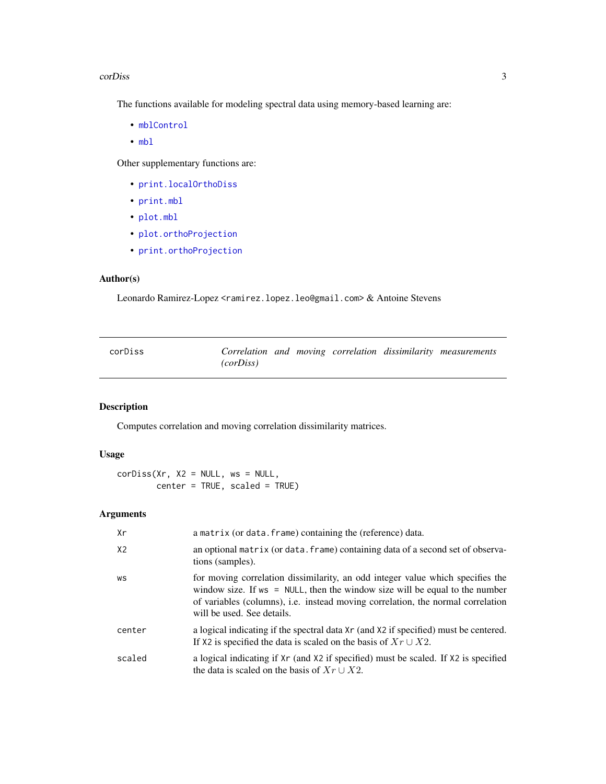#### <span id="page-2-0"></span>corDiss 3

The functions available for modeling spectral data using memory-based learning are:

- [mblControl](#page-16-1)
- [mbl](#page-6-1)

Other supplementary functions are:

- [print.localOrthoDiss](#page-36-1)
- [print.mbl](#page-36-2)
- [plot.mbl](#page-33-1)
- [plot.orthoProjection](#page-34-1)
- [print.orthoProjection](#page-37-2)

# Author(s)

Leonardo Ramirez-Lopez <ramirez.lopez.leo@gmail.com> & Antoine Stevens

<span id="page-2-1"></span>

| corDiss |           |  |  | Correlation and moving correlation dissimilarity measurements |
|---------|-----------|--|--|---------------------------------------------------------------|
|         | (corDiss) |  |  |                                                               |

# Description

Computes correlation and moving correlation dissimilarity matrices.

# Usage

```
corDiss(Xr, X2 = NULL, ws = NULL,\text{center} = \text{TRUE}, \text{ scaled} = \text{TRUE}
```
# Arguments

| Xr             | a matrix (or data. frame) containing the (reference) data.                                                                                                                                                                                                                        |
|----------------|-----------------------------------------------------------------------------------------------------------------------------------------------------------------------------------------------------------------------------------------------------------------------------------|
| X <sub>2</sub> | an optional matrix (or data. frame) containing data of a second set of observa-<br>tions (samples).                                                                                                                                                                               |
| WS             | for moving correlation dissimilarity, an odd integer value which specifies the<br>window size. If $ws = NULL$ , then the window size will be equal to the number<br>of variables (columns), i.e. instead moving correlation, the normal correlation<br>will be used. See details. |
| center         | a logical indicating if the spectral data Xr (and X2 if specified) must be centered.<br>If X2 is specified the data is scaled on the basis of $Xr \cup X2$ .                                                                                                                      |
| scaled         | a logical indicating if Xr (and X2 if specified) must be scaled. If X2 is specified<br>the data is scaled on the basis of $Xr \cup X2$ .                                                                                                                                          |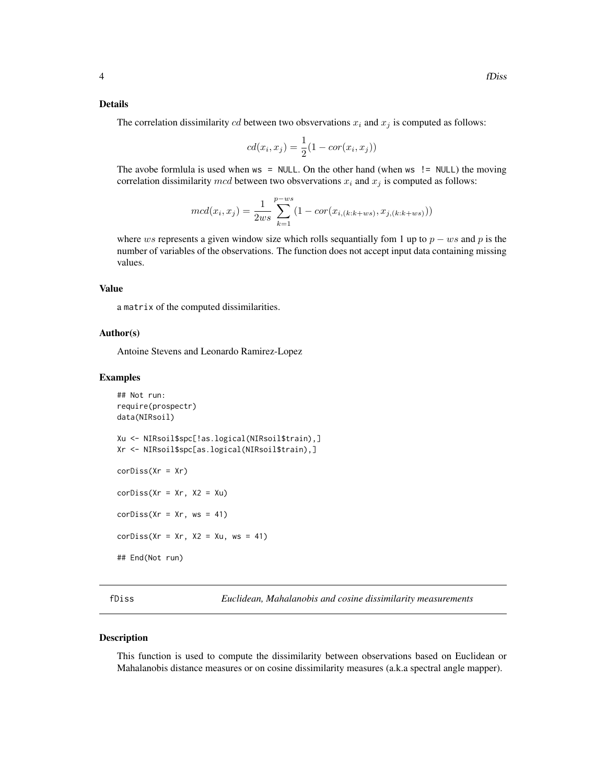#### <span id="page-3-0"></span>Details

The correlation dissimilarity cd between two obsvervations  $x_i$  and  $x_j$  is computed as follows:

$$
cd(x_i, x_j) = \frac{1}{2}(1 - cor(x_i, x_j))
$$

The avobe formlula is used when  $ws = NULL$ . On the other hand (when  $ws$  != NULL) the moving correlation dissimilarity mcd between two obsvervations  $x_i$  and  $x_j$  is computed as follows:

$$
mcd(x_i, x_j) = \frac{1}{2ws} \sum_{k=1}^{p-ws} (1 - cor(x_{i,(k:k+ws)}, x_{j,(k:k+ws)}))
$$

where ws represents a given window size which rolls sequantially fom 1 up to  $p - ws$  and p is the number of variables of the observations. The function does not accept input data containing missing values.

# Value

a matrix of the computed dissimilarities.

# Author(s)

Antoine Stevens and Leonardo Ramirez-Lopez

#### Examples

```
## Not run:
require(prospectr)
data(NIRsoil)
Xu <- NIRsoil$spc[!as.logical(NIRsoil$train),]
Xr <- NIRsoil$spc[as.logical(NIRsoil$train),]
corDiss(Xr = Xr)corDiss(Xr = xr, X2 = Xu)corDiss(Xr = xr, ws = 41)corDiss(Xr = xr, X2 = Xu, ws = 41)## End(Not run)
```
<span id="page-3-1"></span>fDiss *Euclidean, Mahalanobis and cosine dissimilarity measurements*

#### Description

This function is used to compute the dissimilarity between observations based on Euclidean or Mahalanobis distance measures or on cosine dissimilarity measures (a.k.a spectral angle mapper).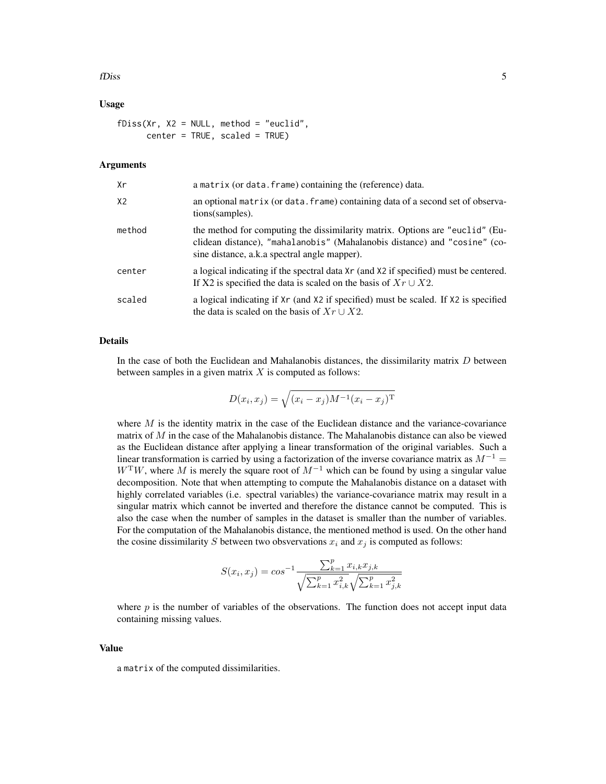#### fDiss 5

# Usage

 $fDiss(Xr, X2 = NULL, method = "euclid",$ center = TRUE, scaled = TRUE)

# Arguments

| Хr     | a matrix (or data. frame) containing the (reference) data.                                                                                                                                                |
|--------|-----------------------------------------------------------------------------------------------------------------------------------------------------------------------------------------------------------|
| X2     | an optional matrix (or data. frame) containing data of a second set of observa-<br>tions (samples).                                                                                                       |
| method | the method for computing the dissimilarity matrix. Options are "euclid" (Eu-<br>clidean distance), "mahalanobis" (Mahalanobis distance) and "cosine" (co-<br>sine distance, a.k.a spectral angle mapper). |
| center | a logical indicating if the spectral data Xr (and X2 if specified) must be centered.<br>If X2 is specified the data is scaled on the basis of $Xr \cup X2$ .                                              |
| scaled | a logical indicating if Xr (and X2 if specified) must be scaled. If X2 is specified<br>the data is scaled on the basis of $Xr \cup X2$ .                                                                  |

# Details

In the case of both the Euclidean and Mahalanobis distances, the dissimilarity matrix  $D$  between between samples in a given matrix  $X$  is computed as follows:

$$
D(x_i, x_j) = \sqrt{(x_i - x_j)M^{-1}(x_i - x_j)^{T}}
$$

where  $M$  is the identity matrix in the case of the Euclidean distance and the variance-covariance matrix of  $M$  in the case of the Mahalanobis distance. The Mahalanobis distance can also be viewed as the Euclidean distance after applying a linear transformation of the original variables. Such a linear transformation is carried by using a factorization of the inverse covariance matrix as  $M^{-1}$  =  $W<sup>T</sup>W$ , where M is merely the square root of  $M<sup>-1</sup>$  which can be found by using a singular value decomposition. Note that when attempting to compute the Mahalanobis distance on a dataset with highly correlated variables (i.e. spectral variables) the variance-covariance matrix may result in a singular matrix which cannot be inverted and therefore the distance cannot be computed. This is also the case when the number of samples in the dataset is smaller than the number of variables. For the computation of the Mahalanobis distance, the mentioned method is used. On the other hand the cosine dissimilarity S between two obsvervations  $x_i$  and  $x_j$  is computed as follows:

$$
S(x_i, x_j) = \cos^{-1} \frac{\sum_{k=1}^p x_{i,k} x_{j,k}}{\sqrt{\sum_{k=1}^p x_{i,k}^2} \sqrt{\sum_{k=1}^p x_{j,k}^2}}
$$

where  $p$  is the number of variables of the observations. The function does not accept input data containing missing values.

# Value

a matrix of the computed dissimilarities.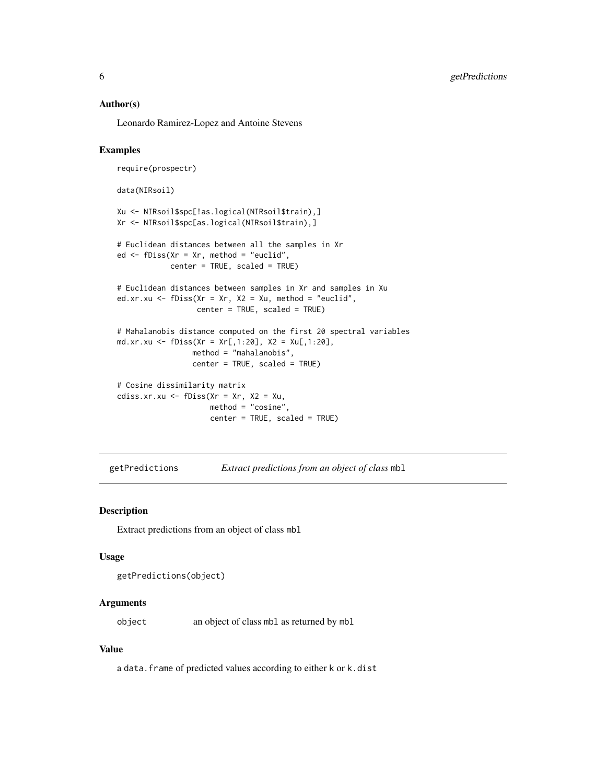### <span id="page-5-0"></span>Author(s)

Leonardo Ramirez-Lopez and Antoine Stevens

#### Examples

```
require(prospectr)
data(NIRsoil)
Xu <- NIRsoil$spc[!as.logical(NIRsoil$train),]
Xr <- NIRsoil$spc[as.logical(NIRsoil$train),]
# Euclidean distances between all the samples in Xr
ed <- fDiss(Xr = Xr, method = "euclid",
            center = TRUE, scaled = TRUE)
# Euclidean distances between samples in Xr and samples in Xu
ed.xr.xu <- fDiss(Xr = Xr, X2 = Xu, method = "euclid",center = TRUE, scaled = TRUE)
# Mahalanobis distance computed on the first 20 spectral variables
md.xr.xu <- fDiss(Xr = Xr[,1:20], X2 = Xu[,1:20],
                 method = "mahalanobis",
                 center = TRUE, scaled = TRUE)
# Cosine dissimilarity matrix
cdiss.xr.xu \leftarrow fDiss(Xr = Xr, X2 = Xu,method = "cosine",
                     center = TRUE, scaled = TRUE)
```
getPredictions *Extract predictions from an object of class* mbl

#### Description

Extract predictions from an object of class mbl

#### Usage

getPredictions(object)

# Arguments

object an object of class mbl as returned by mbl

# Value

a data.frame of predicted values according to either k or k.dist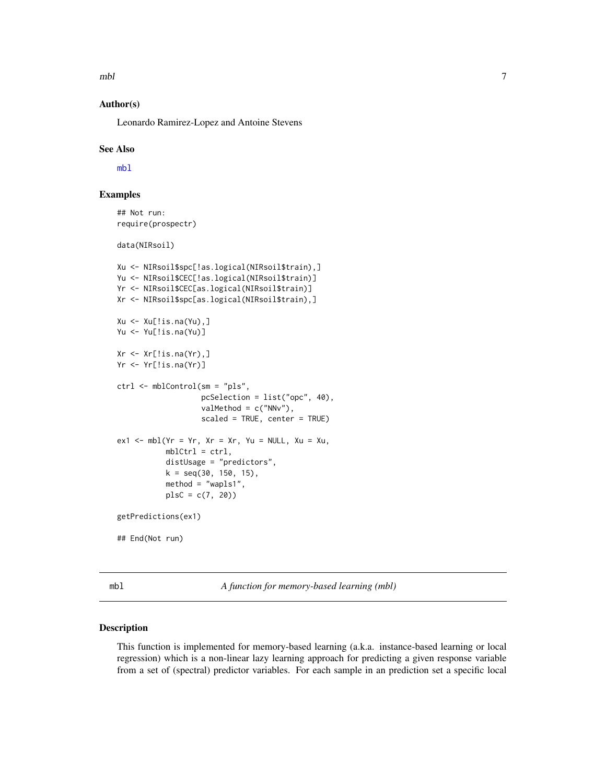<span id="page-6-0"></span> $mbl$  7

# Author(s)

Leonardo Ramirez-Lopez and Antoine Stevens

#### See Also

[mbl](#page-6-1)

# Examples

## Not run: require(prospectr)

data(NIRsoil)

```
Xu <- NIRsoil$spc[!as.logical(NIRsoil$train),]
Yu <- NIRsoil$CEC[!as.logical(NIRsoil$train)]
Yr <- NIRsoil$CEC[as.logical(NIRsoil$train)]
Xr <- NIRsoil$spc[as.logical(NIRsoil$train),]
Xu \leftarrow Xu[!is.na(Yu),]Yu <- Yu[!is.na(Yu)]
Xr <- Xr[!is.na(Yr),]
Yr <- Yr[!is.na(Yr)]
ctrl <- mblControl(sm = "pls",
                   pcSelection = list("opc", 40),
                   valMethod = c("NNv"),
                   scaled = TRUE, center = TRUE)
ex1 < - mb1(Yr = Yr, Xr = Xr, Yu = NULL, Xu = Xu,mblCtrl = ctrl,distUsage = "predictors",
           k = seq(30, 150, 15),
           method = "wapls1",
           plsC = c(7, 20))
getPredictions(ex1)
## End(Not run)
```
<span id="page-6-1"></span>mbl *A function for memory-based learning (mbl)*

# Description

This function is implemented for memory-based learning (a.k.a. instance-based learning or local regression) which is a non-linear lazy learning approach for predicting a given response variable from a set of (spectral) predictor variables. For each sample in an prediction set a specific local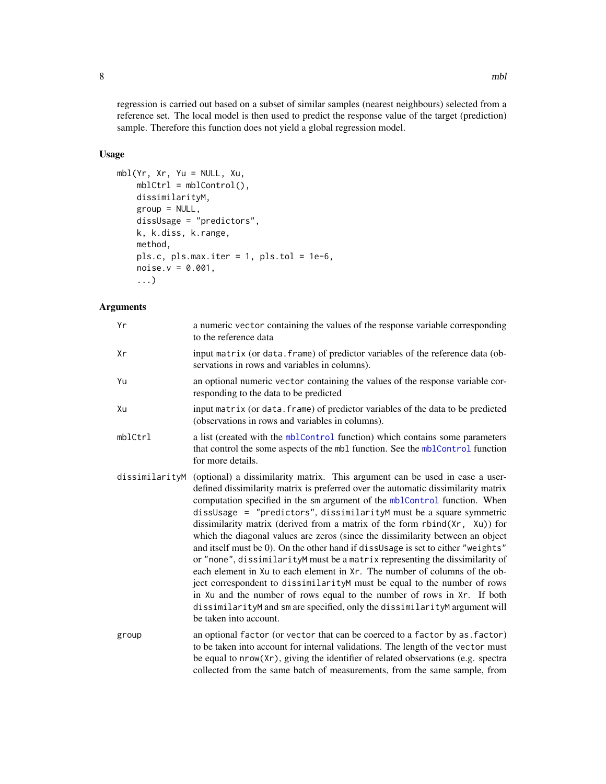<span id="page-7-0"></span>regression is carried out based on a subset of similar samples (nearest neighbours) selected from a reference set. The local model is then used to predict the response value of the target (prediction) sample. Therefore this function does not yield a global regression model.

# Usage

```
mbl(Yr, Xr, Yu = NULL, Xu,
   mblCtrl = mblControl(),dissimilarityM,
   group = NULL,dissUsage = "predictors",
   k, k.diss, k.range,
   method,
   pls.c, pls.max.iter = 1, pls.tol = 1e-6,
   noise.v = 0.001,...)
```
# Arguments

| Υr             | a numeric vector containing the values of the response variable corresponding<br>to the reference data                                                                                                                                                                                                                                                                                                                                                                                                                                                                                                                                                                                                                                                                                                                                                                                                                                                                                                 |
|----------------|--------------------------------------------------------------------------------------------------------------------------------------------------------------------------------------------------------------------------------------------------------------------------------------------------------------------------------------------------------------------------------------------------------------------------------------------------------------------------------------------------------------------------------------------------------------------------------------------------------------------------------------------------------------------------------------------------------------------------------------------------------------------------------------------------------------------------------------------------------------------------------------------------------------------------------------------------------------------------------------------------------|
| Xr             | input matrix (or data. frame) of predictor variables of the reference data (ob-<br>servations in rows and variables in columns).                                                                                                                                                                                                                                                                                                                                                                                                                                                                                                                                                                                                                                                                                                                                                                                                                                                                       |
| Yu             | an optional numeric vector containing the values of the response variable cor-<br>responding to the data to be predicted                                                                                                                                                                                                                                                                                                                                                                                                                                                                                                                                                                                                                                                                                                                                                                                                                                                                               |
| Xu             | input matrix (or data. frame) of predictor variables of the data to be predicted<br>(observations in rows and variables in columns).                                                                                                                                                                                                                                                                                                                                                                                                                                                                                                                                                                                                                                                                                                                                                                                                                                                                   |
| mblCtrl        | a list (created with the mblControl function) which contains some parameters<br>that control the some aspects of the mbl function. See the mblControl function<br>for more details.                                                                                                                                                                                                                                                                                                                                                                                                                                                                                                                                                                                                                                                                                                                                                                                                                    |
| dissimilarityM | (optional) a dissimilarity matrix. This argument can be used in case a user-<br>defined dissimilarity matrix is preferred over the automatic dissimilarity matrix<br>computation specified in the sm argument of the mblControl function. When<br>dissUsage = "predictors", dissimilarityM must be a square symmetric<br>dissimilarity matrix (derived from a matrix of the form rbind(Xr, Xu)) for<br>which the diagonal values are zeros (since the dissimilarity between an object<br>and itself must be 0). On the other hand if dissusage is set to either "weights"<br>or "none", dissimilarityM must be a matrix representing the dissimilarity of<br>each element in Xu to each element in Xr. The number of columns of the ob-<br>ject correspondent to dissimilarityM must be equal to the number of rows<br>in Xu and the number of rows equal to the number of rows in Xr. If both<br>dissimilarityM and sm are specified, only the dissimilarityM argument will<br>be taken into account. |
| group          | an optional factor (or vector that can be coerced to a factor by as. factor)<br>to be taken into account for internal validations. The length of the vector must<br>be equal to nrow(Xr), giving the identifier of related observations (e.g. spectra<br>collected from the same batch of measurements, from the same sample, from                                                                                                                                                                                                                                                                                                                                                                                                                                                                                                                                                                                                                                                                     |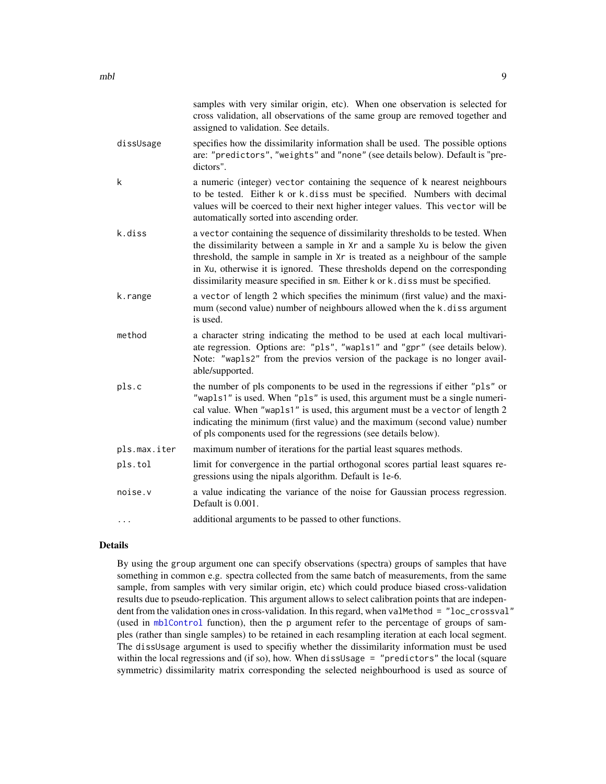<span id="page-8-0"></span>

|              | samples with very similar origin, etc). When one observation is selected for<br>cross validation, all observations of the same group are removed together and<br>assigned to validation. See details.                                                                                                                                                                                                            |
|--------------|------------------------------------------------------------------------------------------------------------------------------------------------------------------------------------------------------------------------------------------------------------------------------------------------------------------------------------------------------------------------------------------------------------------|
| dissUsage    | specifies how the dissimilarity information shall be used. The possible options<br>are: "predictors", "weights" and "none" (see details below). Default is "pre-<br>dictors".                                                                                                                                                                                                                                    |
| k            | a numeric (integer) vector containing the sequence of k nearest neighbours<br>to be tested. Either k or k.diss must be specified. Numbers with decimal<br>values will be coerced to their next higher integer values. This vector will be<br>automatically sorted into ascending order.                                                                                                                          |
| k.diss       | a vector containing the sequence of dissimilarity thresholds to be tested. When<br>the dissimilarity between a sample in Xr and a sample Xu is below the given<br>threshold, the sample in sample in Xr is treated as a neighbour of the sample<br>in Xu, otherwise it is ignored. These thresholds depend on the corresponding<br>dissimilarity measure specified in sm. Either k or k. diss must be specified. |
| k.range      | a vector of length 2 which specifies the minimum (first value) and the maxi-<br>mum (second value) number of neighbours allowed when the k.diss argument<br>is used.                                                                                                                                                                                                                                             |
| method       | a character string indicating the method to be used at each local multivari-<br>ate regression. Options are: "pls", "wapls1" and "gpr" (see details below).<br>Note: "wap1s2" from the previos version of the package is no longer avail-<br>able/supported.                                                                                                                                                     |
| pls.c        | the number of pls components to be used in the regressions if either "pls" or<br>"wap1s1" is used. When "p1s" is used, this argument must be a single numeri-<br>cal value. When "wap1s1" is used, this argument must be a vector of length 2<br>indicating the minimum (first value) and the maximum (second value) number<br>of pls components used for the regressions (see details below).                   |
| pls.max.iter | maximum number of iterations for the partial least squares methods.                                                                                                                                                                                                                                                                                                                                              |
| pls.tol      | limit for convergence in the partial orthogonal scores partial least squares re-<br>gressions using the nipals algorithm. Default is 1e-6.                                                                                                                                                                                                                                                                       |
| noise.v      | a value indicating the variance of the noise for Gaussian process regression.<br>Default is 0.001.                                                                                                                                                                                                                                                                                                               |
|              | additional arguments to be passed to other functions.                                                                                                                                                                                                                                                                                                                                                            |
|              |                                                                                                                                                                                                                                                                                                                                                                                                                  |

# Details

By using the group argument one can specify observations (spectra) groups of samples that have something in common e.g. spectra collected from the same batch of measurements, from the same sample, from samples with very similar origin, etc) which could produce biased cross-validation results due to pseudo-replication. This argument allows to select calibration points that are independent from the validation ones in cross-validation. In this regard, when valMethod = "loc\_crossval" (used in [mblControl](#page-16-1) function), then the p argument refer to the percentage of groups of samples (rather than single samples) to be retained in each resampling iteration at each local segment. The dissUsage argument is used to specifiy whether the dissimilarity information must be used within the local regressions and (if so), how. When dissUsage = "predictors" the local (square symmetric) dissimilarity matrix corresponding the selected neighbourhood is used as source of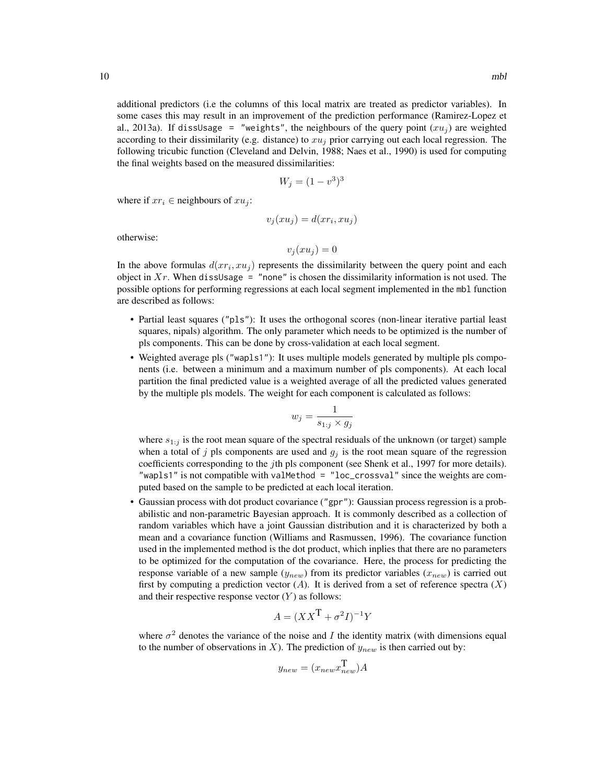additional predictors (i.e the columns of this local matrix are treated as predictor variables). In some cases this may result in an improvement of the prediction performance (Ramirez-Lopez et al., 2013a). If dissusage = "weights", the neighbours of the query point  $(xu_i)$  are weighted according to their dissimilarity (e.g. distance) to  $xu_j$  prior carrying out each local regression. The following tricubic function (Cleveland and Delvin, 1988; Naes et al., 1990) is used for computing the final weights based on the measured dissimilarities:

$$
W_j = (1 - v^3)^3
$$

where if  $xr_i \in$  neighbours of  $xu_i$ :

$$
v_j(xu_j) = d(xr_i, xu_j)
$$

otherwise:

$$
v_j(xu_j) = 0
$$

In the above formulas  $d(xr_i, xu_j)$  represents the dissimilarity between the query point and each object in  $Xr$ . When dissUsage = "none" is chosen the dissimilarity information is not used. The possible options for performing regressions at each local segment implemented in the mbl function are described as follows:

- Partial least squares ("pls"): It uses the orthogonal scores (non-linear iterative partial least squares, nipals) algorithm. The only parameter which needs to be optimized is the number of pls components. This can be done by cross-validation at each local segment.
- Weighted average pls ("wapls1"): It uses multiple models generated by multiple pls components (i.e. between a minimum and a maximum number of pls components). At each local partition the final predicted value is a weighted average of all the predicted values generated by the multiple pls models. The weight for each component is calculated as follows:

$$
w_j = \frac{1}{s_{1:j} \times g_j}
$$

where  $s_{1:j}$  is the root mean square of the spectral residuals of the unknown (or target) sample when a total of j pls components are used and  $g_j$  is the root mean square of the regression coefficients corresponding to the *j*th pls component (see Shenk et al., 1997 for more details). "wapls1" is not compatible with valMethod = "loc\_crossval" since the weights are computed based on the sample to be predicted at each local iteration.

• Gaussian process with dot product covariance ("gpr"): Gaussian process regression is a probabilistic and non-parametric Bayesian approach. It is commonly described as a collection of random variables which have a joint Gaussian distribution and it is characterized by both a mean and a covariance function (Williams and Rasmussen, 1996). The covariance function used in the implemented method is the dot product, which inplies that there are no parameters to be optimized for the computation of the covariance. Here, the process for predicting the response variable of a new sample  $(y_{new})$  from its predictor variables  $(x_{new})$  is carried out first by computing a prediction vector  $(A)$ . It is derived from a set of reference spectra  $(X)$ and their respective response vector  $(Y)$  as follows:

$$
A = (XX^{\mathsf{T}} + \sigma^2 I)^{-1} Y
$$

where  $\sigma^2$  denotes the variance of the noise and I the identity matrix (with dimensions equal to the number of observations in X). The prediction of  $y_{new}$  is then carried out by:

$$
y_{new} = (x_{new} x_{new}^{\mathbf{T}}) A
$$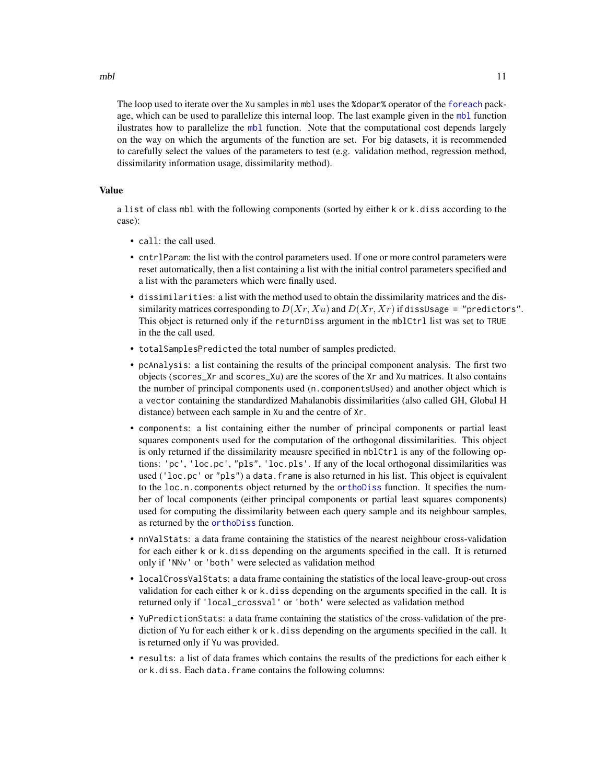<span id="page-10-0"></span>The loop used to iterate over the Xu samples in mbl uses the %dopar% operator of the [foreach](#page-0-0) package, which can be used to parallelize this internal loop. The last example given in the [mbl](#page-6-1) function ilustrates how to parallelize the [mbl](#page-6-1) function. Note that the computational cost depends largely on the way on which the arguments of the function are set. For big datasets, it is recommended to carefully select the values of the parameters to test (e.g. validation method, regression method, dissimilarity information usage, dissimilarity method).

# Value

a list of class mbl with the following components (sorted by either k or k.diss according to the case):

- call: the call used.
- cntrlParam: the list with the control parameters used. If one or more control parameters were reset automatically, then a list containing a list with the initial control parameters specified and a list with the parameters which were finally used.
- dissimilarities: a list with the method used to obtain the dissimilarity matrices and the dissimilarity matrices corresponding to  $D(Xr, Xu)$  and  $D(Xr, Xr)$  if dissUsage = "predictors". This object is returned only if the returnDiss argument in the mblCtrl list was set to TRUE in the the call used.
- totalSamplesPredicted the total number of samples predicted.
- pcAnalysis: a list containing the results of the principal component analysis. The first two objects (scores\_Xr and scores\_Xu) are the scores of the Xr and Xu matrices. It also contains the number of principal components used (n.componentsUsed) and another object which is a vector containing the standardized Mahalanobis dissimilarities (also called GH, Global H distance) between each sample in Xu and the centre of Xr.
- components: a list containing either the number of principal components or partial least squares components used for the computation of the orthogonal dissimilarities. This object is only returned if the dissimilarity meausre specified in mblCtrl is any of the following options: 'pc', 'loc.pc', "pls", 'loc.pls'. If any of the local orthogonal dissimilarities was used ('loc.pc' or "pls") a data.frame is also returned in his list. This object is equivalent to the loc.n.components object returned by the [orthoDiss](#page-24-1) function. It specifies the number of local components (either principal components or partial least squares components) used for computing the dissimilarity between each query sample and its neighbour samples, as returned by the [orthoDiss](#page-24-1) function.
- nnValStats: a data frame containing the statistics of the nearest neighbour cross-validation for each either k or k.diss depending on the arguments specified in the call. It is returned only if 'NNv' or 'both' were selected as validation method
- localCrossValStats: a data frame containing the statistics of the local leave-group-out cross validation for each either k or k.diss depending on the arguments specified in the call. It is returned only if 'local\_crossval' or 'both' were selected as validation method
- YuPredictionStats: a data frame containing the statistics of the cross-validation of the prediction of Yu for each either k or k.diss depending on the arguments specified in the call. It is returned only if Yu was provided.
- results: a list of data frames which contains the results of the predictions for each either k or k.diss. Each data.frame contains the following columns: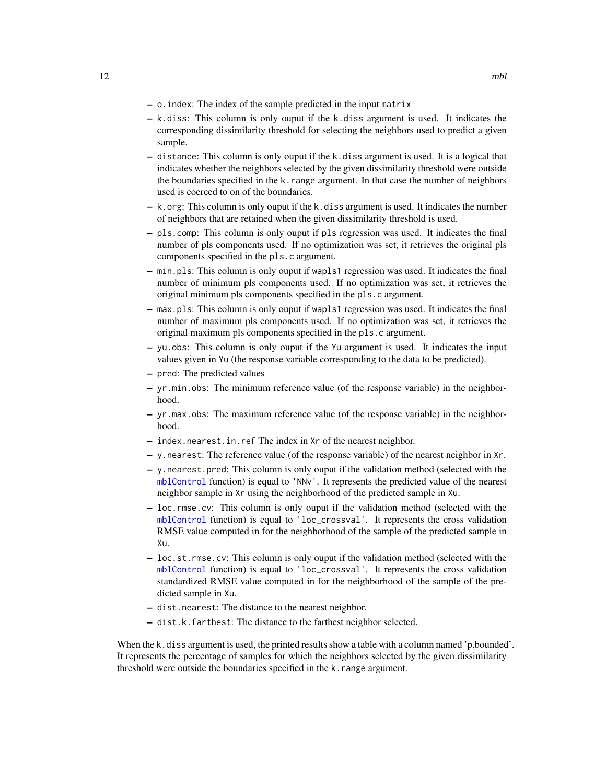- <span id="page-11-0"></span>– o.index: The index of the sample predicted in the input matrix
- k.diss: This column is only ouput if the k.diss argument is used. It indicates the corresponding dissimilarity threshold for selecting the neighbors used to predict a given sample.
- distance: This column is only ouput if the k.diss argument is used. It is a logical that indicates whether the neighbors selected by the given dissimilarity threshold were outside the boundaries specified in the k.range argument. In that case the number of neighbors used is coerced to on of the boundaries.
- k.org: This column is only ouput if the k.diss argument is used. It indicates the number of neighbors that are retained when the given dissimilarity threshold is used.
- pls.comp: This column is only ouput if pls regression was used. It indicates the final number of pls components used. If no optimization was set, it retrieves the original pls components specified in the pls.c argument.
- min.pls: This column is only ouput if wapls1 regression was used. It indicates the final number of minimum pls components used. If no optimization was set, it retrieves the original minimum pls components specified in the pls.c argument.
- max.pls: This column is only ouput if wapls1 regression was used. It indicates the final number of maximum pls components used. If no optimization was set, it retrieves the original maximum pls components specified in the pls.c argument.
- yu.obs: This column is only ouput if the Yu argument is used. It indicates the input values given in Yu (the response variable corresponding to the data to be predicted).
- pred: The predicted values
- yr.min.obs: The minimum reference value (of the response variable) in the neighborhood.
- yr.max.obs: The maximum reference value (of the response variable) in the neighborhood.
- index.nearest.in.ref The index in Xr of the nearest neighbor.
- y.nearest: The reference value (of the response variable) of the nearest neighbor in Xr.
- y.nearest.pred: This column is only ouput if the validation method (selected with the [mblControl](#page-16-1) function) is equal to 'NNv'. It represents the predicted value of the nearest neighbor sample in Xr using the neighborhood of the predicted sample in Xu.
- loc.rmse.cv: This column is only ouput if the validation method (selected with the [mblControl](#page-16-1) function) is equal to 'loc\_crossval'. It represents the cross validation RMSE value computed in for the neighborhood of the sample of the predicted sample in Xu.
- loc.st.rmse.cv: This column is only ouput if the validation method (selected with the [mblControl](#page-16-1) function) is equal to 'loc\_crossval'. It represents the cross validation standardized RMSE value computed in for the neighborhood of the sample of the predicted sample in Xu.
- dist.nearest: The distance to the nearest neighbor.
- dist.k.farthest: The distance to the farthest neighbor selected.

When the k, diss argument is used, the printed results show a table with a column named 'p.bounded'. It represents the percentage of samples for which the neighbors selected by the given dissimilarity threshold were outside the boundaries specified in the k.range argument.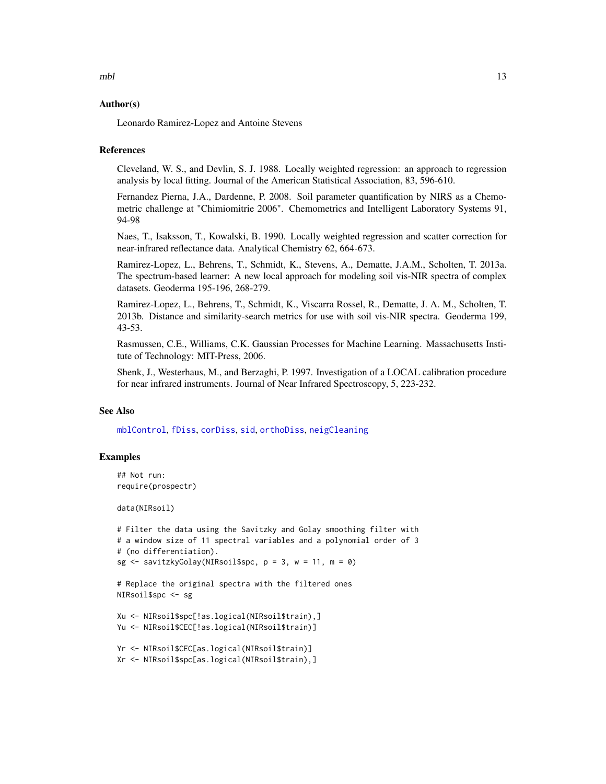# <span id="page-12-0"></span>Author(s)

Leonardo Ramirez-Lopez and Antoine Stevens

# **References**

Cleveland, W. S., and Devlin, S. J. 1988. Locally weighted regression: an approach to regression analysis by local fitting. Journal of the American Statistical Association, 83, 596-610.

Fernandez Pierna, J.A., Dardenne, P. 2008. Soil parameter quantification by NIRS as a Chemometric challenge at "Chimiomitrie 2006". Chemometrics and Intelligent Laboratory Systems 91, 94-98

Naes, T., Isaksson, T., Kowalski, B. 1990. Locally weighted regression and scatter correction for near-infrared reflectance data. Analytical Chemistry 62, 664-673.

Ramirez-Lopez, L., Behrens, T., Schmidt, K., Stevens, A., Dematte, J.A.M., Scholten, T. 2013a. The spectrum-based learner: A new local approach for modeling soil vis-NIR spectra of complex datasets. Geoderma 195-196, 268-279.

Ramirez-Lopez, L., Behrens, T., Schmidt, K., Viscarra Rossel, R., Dematte, J. A. M., Scholten, T. 2013b. Distance and similarity-search metrics for use with soil vis-NIR spectra. Geoderma 199, 43-53.

Rasmussen, C.E., Williams, C.K. Gaussian Processes for Machine Learning. Massachusetts Institute of Technology: MIT-Press, 2006.

Shenk, J., Westerhaus, M., and Berzaghi, P. 1997. Investigation of a LOCAL calibration procedure for near infrared instruments. Journal of Near Infrared Spectroscopy, 5, 223-232.

# See Also

[mblControl](#page-16-1), [fDiss](#page-3-1), [corDiss](#page-2-1), [sid](#page-37-1), [orthoDiss](#page-24-1), [neigCleaning](#page-20-1)

# Examples

```
## Not run:
require(prospectr)
```
data(NIRsoil)

```
# Filter the data using the Savitzky and Golay smoothing filter with
# a window size of 11 spectral variables and a polynomial order of 3
# (no differentiation).
sg \leq savitzkyGolay(NIRsoil$spc, p = 3, w = 11, m = 0)
```

```
# Replace the original spectra with the filtered ones
NIRsoil$spc <- sg
```

```
Xu <- NIRsoil$spc[!as.logical(NIRsoil$train),]
Yu <- NIRsoil$CEC[!as.logical(NIRsoil$train)]
```

```
Yr <- NIRsoil$CEC[as.logical(NIRsoil$train)]
Xr <- NIRsoil$spc[as.logical(NIRsoil$train),]
```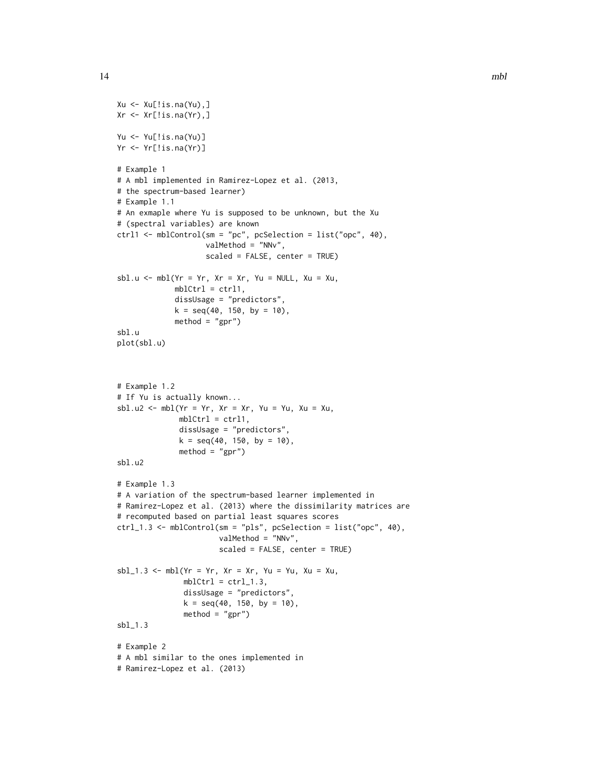```
Xu <- Xu[!is.na(Yu),]
Xr \leftarrow Xr[!is.na(Yr),]Yu <- Yu[!is.na(Yu)]
Yr <- Yr[!is.na(Yr)]
# Example 1
# A mbl implemented in Ramirez-Lopez et al. (2013,
# the spectrum-based learner)
# Example 1.1
# An exmaple where Yu is supposed to be unknown, but the Xu
# (spectral variables) are known
ctrl1 <- mblControl(sm = "pc", pcSelection = list("opc", 40),
                    valMethod = "NNv",
                    scaled = FALSE, center = TRUE)
sbl.u <- mbl(Yr = Yr, Xr = Xr, Yu = NULL, Xu = Xu,mblCtrl = ctrl1,
             dissUsage = "predictors",
             k = seq(40, 150, by = 10),
             method = "gpr")sbl.u
plot(sbl.u)
# Example 1.2
# If Yu is actually known...
sbl.u2 <- mbl(Yr = Yr, Xr = Xr, Yu = Yu, Xu = Xu,mblCtrl = ctrl1,
              dissUsage = "predictors",
              k = seq(40, 150, by = 10),
              method = "gpr")sbl.u2
# Example 1.3
# A variation of the spectrum-based learner implemented in
# Ramirez-Lopez et al. (2013) where the dissimilarity matrices are
# recomputed based on partial least squares scores
ctrl_1.3 <- mblControl(sm = "pls", pcSelection = list("opc", 40),
                       valMethod = "NNv",
                       scaled = FALSE, center = TRUE)
sbl_1.3 <- mbl(Yr = Yr, Xr = Xr, Yu = Yu, Xu = Xu,
               mblCtrl = \text{ctrl}.3,dissUsage = "predictors",
               k = seq(40, 150, by = 10),
               method = "gpr")sbl_1.3
# Example 2
# A mbl similar to the ones implemented in
# Ramirez-Lopez et al. (2013)
```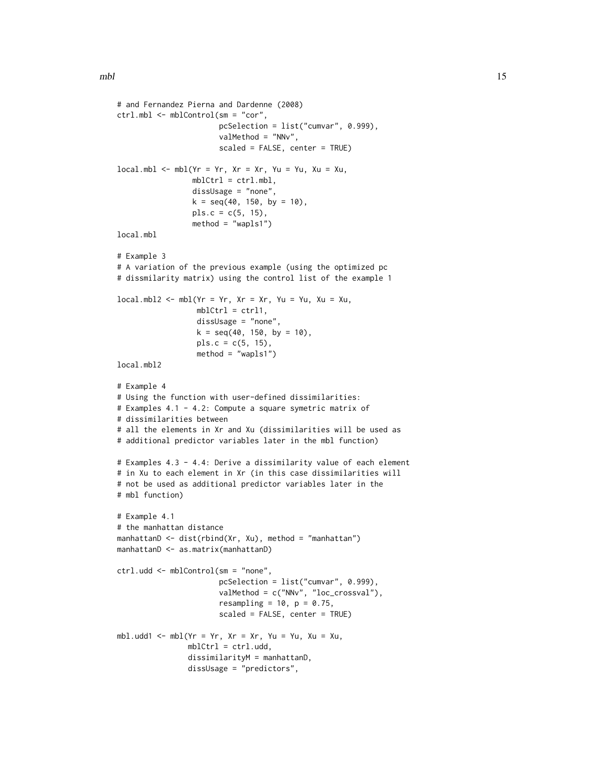```
# and Fernandez Pierna and Dardenne (2008)
ctrl.mbl <- mblControl(sm = "cor",
                       pcSelection = list("cumvar", 0.999),
                       valMethod = "NNv",
                       scaled = FALSE, center = TRUE)
local.mbl \leq mbl(Yr = Yr, Xr = Xr, Yu = Yu, Xu = Xu,mblCtrl = ctrl.mbl,dissUsage = "none",
                 k = seq(40, 150, by = 10),
                 pls.c = c(5, 15),method = "wapls1")
local.mbl
# Example 3
# A variation of the previous example (using the optimized pc
# dissmilarity matrix) using the control list of the example 1
localmb12 \leq mbl(Yr = Yr, Xr = Xr, Yu = Yu, Xu = Xu,mblCtrl = ctrl1,
                  dissUsage = "none",
                  k = seq(40, 150, by = 10),
                  pls.c = c(5, 15),method = "wapls1")
local.mbl2
# Example 4
# Using the function with user-defined dissimilarities:
# Examples 4.1 - 4.2: Compute a square symetric matrix of
# dissimilarities between
# all the elements in Xr and Xu (dissimilarities will be used as
# additional predictor variables later in the mbl function)
# Examples 4.3 - 4.4: Derive a dissimilarity value of each element
# in Xu to each element in Xr (in this case dissimilarities will
# not be used as additional predictor variables later in the
# mbl function)
# Example 4.1
# the manhattan distance
manhattanD <- dist(rbind(Xr, Xu), method = "manhattan")
manhattanD <- as.matrix(manhattanD)
ctrl.udd <- mblControl(sm = "none",
                       pcSelection = list("cumvar", 0.999),
                       valMethod = c("NNv", "loc_crossval"),
                       resampling = 10, p = 0.75,
                       scaled = FALSE, center = TRUE)
mbl.udd1 <- mbl(Yr = Yr, Xr = Xr, Yu = Yu, Xu = Xu,
                mblCtrl = ctrl.udd,
                dissimilarityM = manhattanD,
                dissUsage = "predictors",
```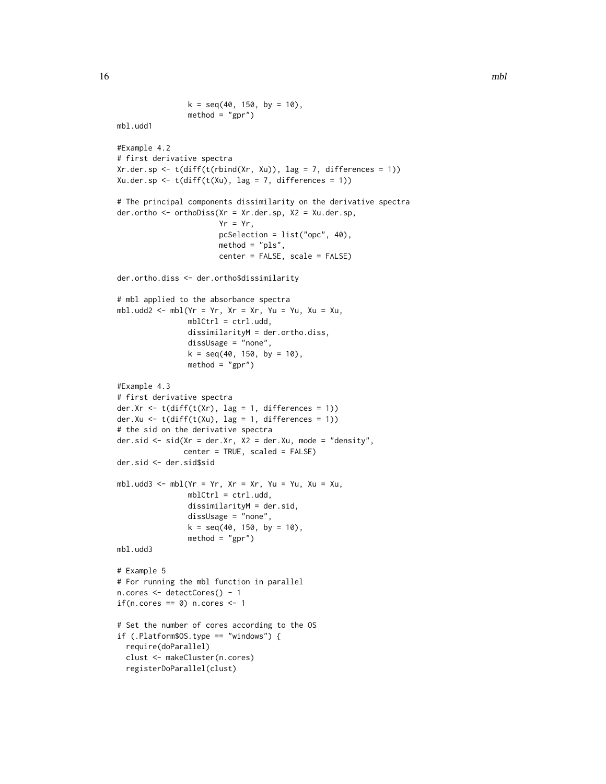```
k = seq(40, 150, by = 10),
                method = "gpr")mbl.udd1
#Example 4.2
# first derivative spectra
Xr.der.sp <- t(diff(t(rbind(Xr, Xu)), lag = 7, differences = 1))
Xu.der.sp <- t(diff(t(Xu), lag = 7, differences = 1))
# The principal components dissimilarity on the derivative spectra
der.ortho <- orthoDiss(Xr = Xr.der.sp, X2 = Xu.der.sp,
                       Yr = Yr,
                       pcSelection = list("opc", 40),
                       method = "pls",center = FALSE, scale = FALSE)
der.ortho.diss <- der.ortho$dissimilarity
# mbl applied to the absorbance spectra
mbl.udd2 <- mbl(Yr = Yr, Xr = Xr, Yu = Yu, Xu = Xu,
                mblCtrl = ctrl.udd,
                dissimilarityM = der.ortho.diss,
                dissUsage = "none",
                k = seq(40, 150, by = 10),
                method = "gpr")#Example 4.3
# first derivative spectra
der.Xr <- t(diff(t(Xr), lag = 1, differences = 1))
der.Xu <- t(diff(t(Xu), lag = 1, differences = 1))
# the sid on the derivative spectra
der.sid <- sid(Xr = der.Xr, X2 = der.Xu, mode = "density",
               center = TRUE, scaled = FALSE)
der.sid <- der.sid$sid
mbl.udd3 <- mbl(Yr = Yr, Xr = Xr, Yu = Yu, Xu = Xu,
                mblCtrl = ctrl.udd,
                dissimilarityM = der.sid,
                dissUsage = "none",
                k = seq(40, 150, by = 10),
                method = "gpr")mbl.udd3
# Example 5
# For running the mbl function in parallel
n.cores <- detectCores() - 1
if(n.cores == 0) n.cores < -1# Set the number of cores according to the OS
if (.Platform$OS.type == "windows") {
  require(doParallel)
  clust <- makeCluster(n.cores)
  registerDoParallel(clust)
```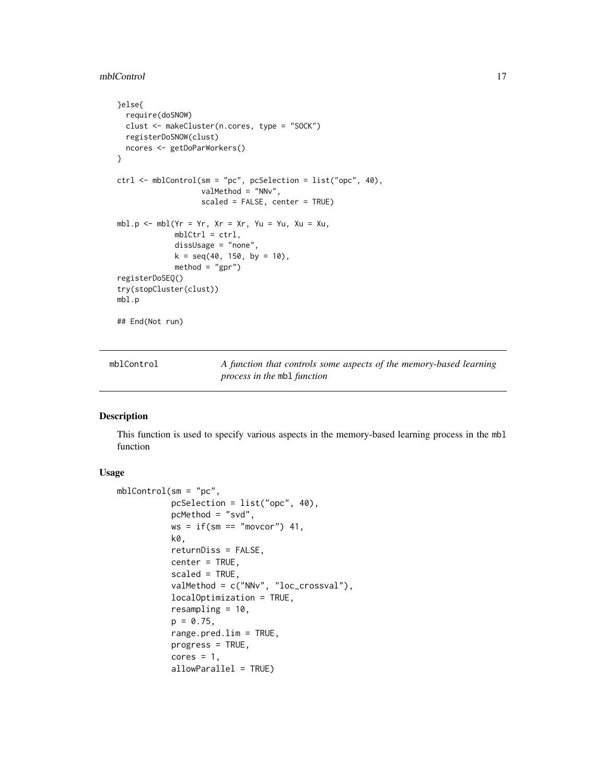#### <span id="page-16-0"></span>mblControl 17

```
}else{
  require(doSNOW)
  clust <- makeCluster(n.cores, type = "SOCK")
 registerDoSNOW(clust)
  ncores <- getDoParWorkers()
}
ctrl <- mblControl(sm = "pc", pcSelection = list("opc", 40),
                  valMethod = "NNv",
                   scaled = FALSE, center = TRUE)
mbl.p <- mbl(Yr = Yr, Xr = Xr, Yu = Yu, Xu = Xu,
             mblCtrl = ctrl,dissUsage = "none",
             k = seq(40, 150, by = 10),
             method = "gpr")registerDoSEQ()
try(stopCluster(clust))
mbl.p
## End(Not run)
```
<span id="page-16-1"></span>

| mblControl | A function that controls some aspects of the memory-based learning |
|------------|--------------------------------------------------------------------|
|            | process in the mb1 function                                        |

# Description

This function is used to specify various aspects in the memory-based learning process in the mbl function

# Usage

```
mblControl(sm = "pc",
           pcSelection = list("opc", 40),
           pcMethod = "svd",
           ws = if(sm == "moveor") 41,k0,
           returnDiss = FALSE,
           center = TRUE,
           scaled = TRUE,
           valMethod = c("NNv", "loc_crossval"),
           localOptimization = TRUE,
           resampling = 10,
           p = 0.75,
           range.pred.lim = TRUE,
           progress = TRUE,
           cores = 1,allowParallel = TRUE)
```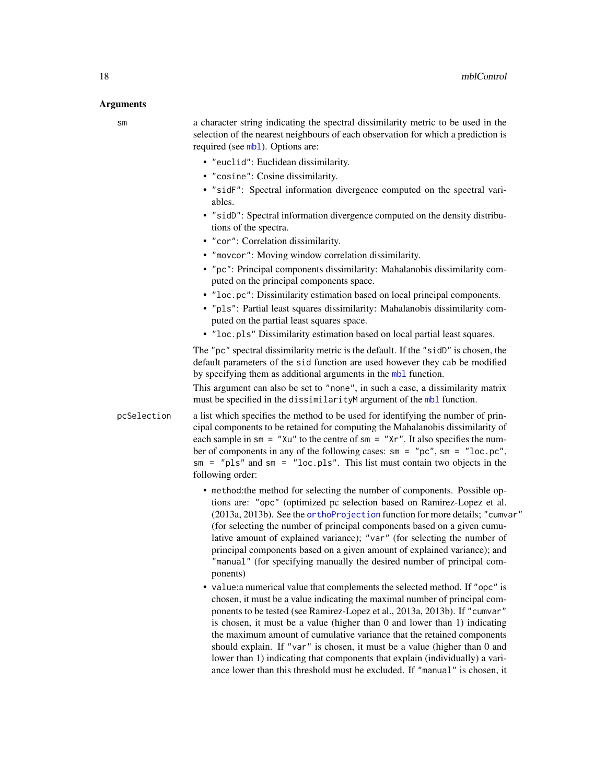#### <span id="page-17-0"></span>Arguments

| ۰.<br>×<br>$\sim$ |  |
|-------------------|--|

a character string indicating the spectral dissimilarity metric to be used in the selection of the nearest neighbours of each observation for which a prediction is required (see [mbl](#page-6-1)). Options are:

- "euclid": Euclidean dissimilarity.
- "cosine": Cosine dissimilarity.
- "sidF": Spectral information divergence computed on the spectral variables.
- "sidD": Spectral information divergence computed on the density distributions of the spectra.
- "cor": Correlation dissimilarity.
- "movcor": Moving window correlation dissimilarity.
- "pc": Principal components dissimilarity: Mahalanobis dissimilarity computed on the principal components space.
- "loc.pc": Dissimilarity estimation based on local principal components.
- "pls": Partial least squares dissimilarity: Mahalanobis dissimilarity computed on the partial least squares space.
- "loc.pls" Dissimilarity estimation based on local partial least squares.

The "pc" spectral dissimilarity metric is the default. If the "sidD" is chosen, the default parameters of the sid function are used however they cab be modified by specifying them as additional arguments in the [mbl](#page-6-1) function.

This argument can also be set to "none", in such a case, a dissimilarity matrix must be specified in the dissimilarityM argument of the [mbl](#page-6-1) function.

- pcSelection a list which specifies the method to be used for identifying the number of principal components to be retained for computing the Mahalanobis dissimilarity of each sample in  $\text{sm} = "Xu"$  to the centre of  $\text{sm} = "Xr".$  It also specifies the number of components in any of the following cases: sm = "pc", sm = "loc.pc", sm = "pls" and sm = "loc.pls". This list must contain two objects in the following order:
	- method:the method for selecting the number of components. Possible options are: "opc" (optimized pc selection based on Ramirez-Lopez et al. (2013a, 2013b). See the [orthoProjection](#page-28-1) function for more details; "cumvar" (for selecting the number of principal components based on a given cumulative amount of explained variance); "var" (for selecting the number of principal components based on a given amount of explained variance); and "manual" (for specifying manually the desired number of principal components)
	- value:a numerical value that complements the selected method. If "opc" is chosen, it must be a value indicating the maximal number of principal components to be tested (see Ramirez-Lopez et al., 2013a, 2013b). If "cumvar" is chosen, it must be a value (higher than 0 and lower than 1) indicating the maximum amount of cumulative variance that the retained components should explain. If "var" is chosen, it must be a value (higher than 0 and lower than 1) indicating that components that explain (individually) a variance lower than this threshold must be excluded. If "manual" is chosen, it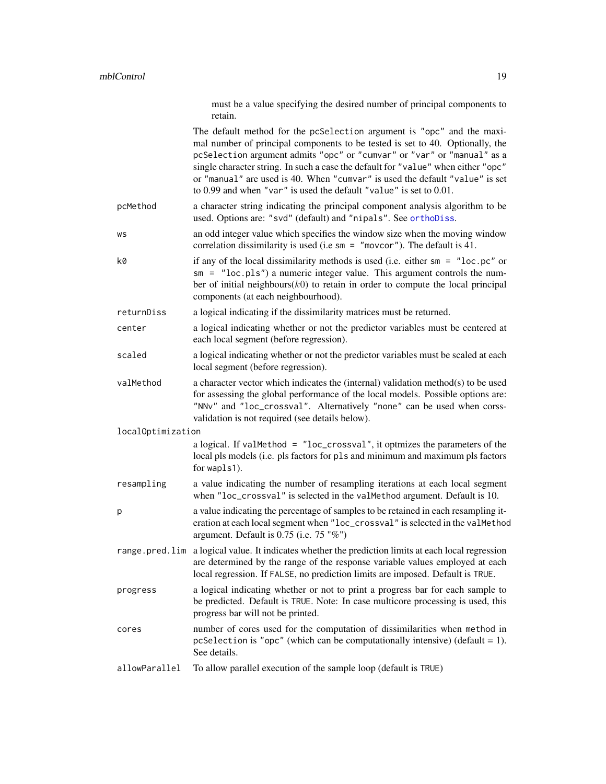<span id="page-18-0"></span>

|                   | must be a value specifying the desired number of principal components to<br>retain.                                                                                                                                                                                                                                                                                                                                                                                           |
|-------------------|-------------------------------------------------------------------------------------------------------------------------------------------------------------------------------------------------------------------------------------------------------------------------------------------------------------------------------------------------------------------------------------------------------------------------------------------------------------------------------|
|                   | The default method for the pcSelection argument is "opc" and the maxi-<br>mal number of principal components to be tested is set to 40. Optionally, the<br>pcSelection argument admits "opc" or "cumvar" or "var" or "manual" as a<br>single character string. In such a case the default for "value" when either "opc"<br>or "manual" are used is 40. When "cumvar" is used the default "value" is set<br>to 0.99 and when "var" is used the default "value" is set to 0.01. |
| pcMethod          | a character string indicating the principal component analysis algorithm to be<br>used. Options are: "svd" (default) and "nipals". See orthoDiss.                                                                                                                                                                                                                                                                                                                             |
| WS                | an odd integer value which specifies the window size when the moving window<br>correlation dissimilarity is used (i.e $sm = "movcor")$ . The default is 41.                                                                                                                                                                                                                                                                                                                   |
| k0                | if any of the local dissimilarity methods is used (i.e. either $sm = "loc.pc"$ or<br>$sm = "loc. pls")$ a numeric integer value. This argument controls the num-<br>ber of initial neighbours $(k0)$ to retain in order to compute the local principal<br>components (at each neighbourhood).                                                                                                                                                                                 |
| returnDiss        | a logical indicating if the dissimilarity matrices must be returned.                                                                                                                                                                                                                                                                                                                                                                                                          |
| center            | a logical indicating whether or not the predictor variables must be centered at<br>each local segment (before regression).                                                                                                                                                                                                                                                                                                                                                    |
| scaled            | a logical indicating whether or not the predictor variables must be scaled at each<br>local segment (before regression).                                                                                                                                                                                                                                                                                                                                                      |
| valMethod         | a character vector which indicates the (internal) validation method(s) to be used<br>for assessing the global performance of the local models. Possible options are:<br>"NNv" and "loc_crossval". Alternatively "none" can be used when corss-<br>validation is not required (see details below).                                                                                                                                                                             |
| localOptimization |                                                                                                                                                                                                                                                                                                                                                                                                                                                                               |
|                   | a logical. If valMethod = "loc_crossval", it optmizes the parameters of the<br>local pls models (i.e. pls factors for pls and minimum and maximum pls factors<br>for wapls1).                                                                                                                                                                                                                                                                                                 |
| resampling        | a value indicating the number of resampling iterations at each local segment<br>when "loc_crossval" is selected in the valMethod argument. Default is 10.                                                                                                                                                                                                                                                                                                                     |
| p                 | a value indicating the percentage of samples to be retained in each resampling it-<br>eration at each local segment when "loc_crossval" is selected in the valMethod<br>argument. Default is $0.75$ (i.e. $75$ "%")                                                                                                                                                                                                                                                           |
|                   | range pred lim a logical value. It indicates whether the prediction limits at each local regression<br>are determined by the range of the response variable values employed at each<br>local regression. If FALSE, no prediction limits are imposed. Default is TRUE.                                                                                                                                                                                                         |
| progress          | a logical indicating whether or not to print a progress bar for each sample to<br>be predicted. Default is TRUE. Note: In case multicore processing is used, this<br>progress bar will not be printed.                                                                                                                                                                                                                                                                        |
| cores             | number of cores used for the computation of dissimilarities when method in<br>pcSelection is "opc" (which can be computationally intensive) (default = 1).<br>See details.                                                                                                                                                                                                                                                                                                    |
| allowParallel     | To allow parallel execution of the sample loop (default is TRUE)                                                                                                                                                                                                                                                                                                                                                                                                              |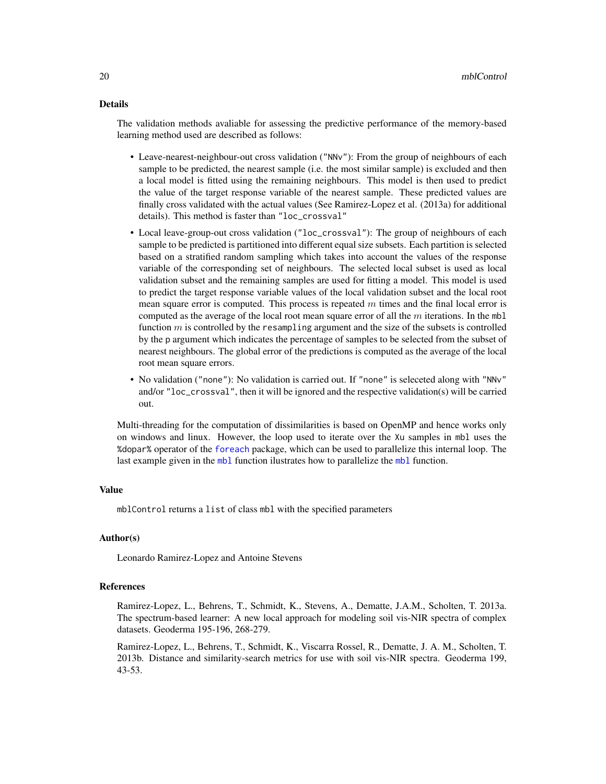# <span id="page-19-0"></span>Details

The validation methods avaliable for assessing the predictive performance of the memory-based learning method used are described as follows:

- Leave-nearest-neighbour-out cross validation ("NNv"): From the group of neighbours of each sample to be predicted, the nearest sample (i.e. the most similar sample) is excluded and then a local model is fitted using the remaining neighbours. This model is then used to predict the value of the target response variable of the nearest sample. These predicted values are finally cross validated with the actual values (See Ramirez-Lopez et al. (2013a) for additional details). This method is faster than "loc\_crossval"
- Local leave-group-out cross validation ("loc\_crossval"): The group of neighbours of each sample to be predicted is partitioned into different equal size subsets. Each partition is selected based on a stratified random sampling which takes into account the values of the response variable of the corresponding set of neighbours. The selected local subset is used as local validation subset and the remaining samples are used for fitting a model. This model is used to predict the target response variable values of the local validation subset and the local root mean square error is computed. This process is repeated  $m$  times and the final local error is computed as the average of the local root mean square error of all the  $m$  iterations. In the mbl function  $m$  is controlled by the resampling argument and the size of the subsets is controlled by the p argument which indicates the percentage of samples to be selected from the subset of nearest neighbours. The global error of the predictions is computed as the average of the local root mean square errors.
- No validation ("none"): No validation is carried out. If "none" is seleceted along with "NNv" and/or "loc\_crossval", then it will be ignored and the respective validation(s) will be carried out.

Multi-threading for the computation of dissimilarities is based on OpenMP and hence works only on windows and linux. However, the loop used to iterate over the Xu samples in mbl uses the %dopar% operator of the [foreach](#page-0-0) package, which can be used to parallelize this internal loop. The last example given in the [mbl](#page-6-1) function ilustrates how to parallelize the mbl function.

# Value

mblControl returns a list of class mbl with the specified parameters

# Author(s)

Leonardo Ramirez-Lopez and Antoine Stevens

#### **References**

Ramirez-Lopez, L., Behrens, T., Schmidt, K., Stevens, A., Dematte, J.A.M., Scholten, T. 2013a. The spectrum-based learner: A new local approach for modeling soil vis-NIR spectra of complex datasets. Geoderma 195-196, 268-279.

Ramirez-Lopez, L., Behrens, T., Schmidt, K., Viscarra Rossel, R., Dematte, J. A. M., Scholten, T. 2013b. Distance and similarity-search metrics for use with soil vis-NIR spectra. Geoderma 199, 43-53.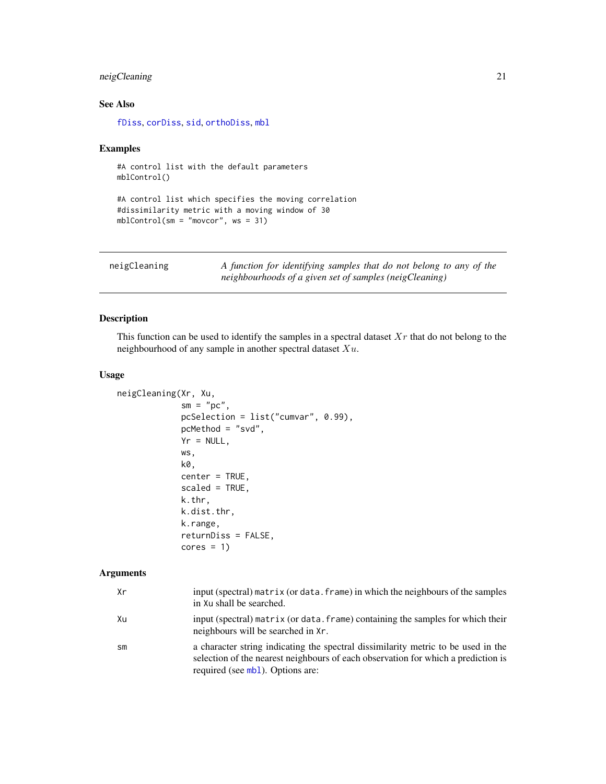# <span id="page-20-0"></span>neigCleaning 21

# See Also

[fDiss](#page-3-1), [corDiss](#page-2-1), [sid](#page-37-1), [orthoDiss](#page-24-1), [mbl](#page-6-1)

#### Examples

#A control list with the default parameters mblControl()

```
#A control list which specifies the moving correlation
#dissimilarity metric with a moving window of 30
mblControl(sm = "movcor", ws = 31)
```
<span id="page-20-1"></span>

| neigCleaning | A function for identifying samples that do not belong to any of the |
|--------------|---------------------------------------------------------------------|
|              | neighbourhoods of a given set of samples (neigCleaning)             |

# Description

This function can be used to identify the samples in a spectral dataset  $Xr$  that do not belong to the neighbourhood of any sample in another spectral dataset  $Xu$ .

# Usage

```
neigCleaning(Xr, Xu,
             sm = "pc",pcSelection = list("cumvar", 0.99),
             pcMethod = "svd",
             Yr = NULL,ws,
             k0,
             center = TRUE,
             scaled = TRUE,
             k.thr,
             k.dist.thr,
             k.range,
             returnDiss = FALSE,
             cores = 1)
```
# Arguments

| Хr            | input (spectral) matrix (or data. frame) in which the neighbours of the samples<br>in Xu shall be searched.                                                                                                |
|---------------|------------------------------------------------------------------------------------------------------------------------------------------------------------------------------------------------------------|
| Xu            | input (spectral) matrix (or data. frame) containing the samples for which their<br>neighbours will be searched in Xr.                                                                                      |
| $\mathsf{sm}$ | a character string indicating the spectral dissimilarity metric to be used in the<br>selection of the nearest neighbours of each observation for which a prediction is<br>required (see mb1). Options are: |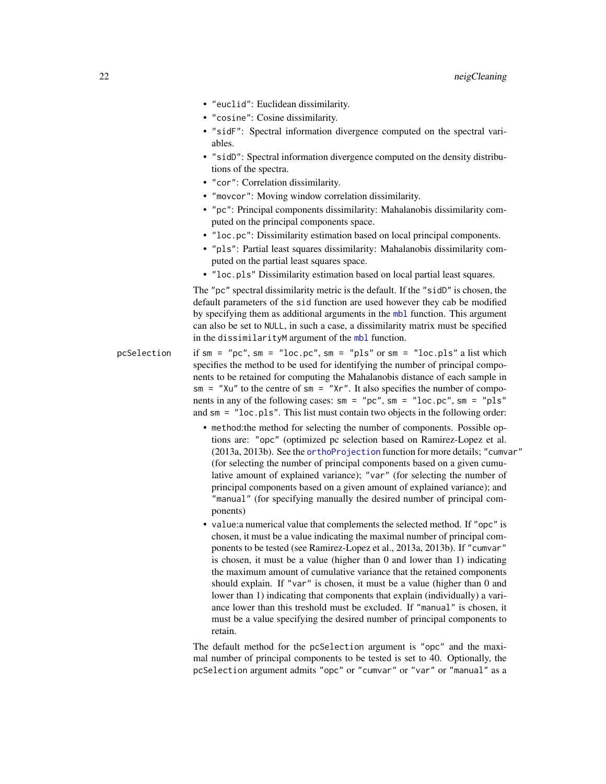- <span id="page-21-0"></span>• "euclid": Euclidean dissimilarity.
- "cosine": Cosine dissimilarity.
- "sidF": Spectral information divergence computed on the spectral variables.
- "sidD": Spectral information divergence computed on the density distributions of the spectra.
- "cor": Correlation dissimilarity.
- "movcor": Moving window correlation dissimilarity.
- "pc": Principal components dissimilarity: Mahalanobis dissimilarity computed on the principal components space.
- "loc.pc": Dissimilarity estimation based on local principal components.
- "pls": Partial least squares dissimilarity: Mahalanobis dissimilarity computed on the partial least squares space.
- "loc.pls" Dissimilarity estimation based on local partial least squares.

The "pc" spectral dissimilarity metric is the default. If the "sidD" is chosen, the default parameters of the sid function are used however they cab be modified by specifying them as additional arguments in the [mbl](#page-6-1) function. This argument can also be set to NULL, in such a case, a dissimilarity matrix must be specified in the dissimilarityM argument of the [mbl](#page-6-1) function.

- pcSelection if  $sm = "pc", sm = "loc.pc", sm = "pls" or sm = "loc.pls" a list which$ specifies the method to be used for identifying the number of principal components to be retained for computing the Mahalanobis distance of each sample in  $sm = "Xu"$  to the centre of sm = " $Xr"$ . It also specifies the number of components in any of the following cases:  $sm = "pc", sm = "loc.pc", sm = "pls"$ and sm = "loc.pls". This list must contain two objects in the following order:
	- method:the method for selecting the number of components. Possible options are: "opc" (optimized pc selection based on Ramirez-Lopez et al. (2013a, 2013b). See the [orthoProjection](#page-28-1) function for more details; "cumvar" (for selecting the number of principal components based on a given cumulative amount of explained variance); "var" (for selecting the number of principal components based on a given amount of explained variance); and "manual" (for specifying manually the desired number of principal components)
	- value:a numerical value that complements the selected method. If "opc" is chosen, it must be a value indicating the maximal number of principal components to be tested (see Ramirez-Lopez et al., 2013a, 2013b). If "cumvar" is chosen, it must be a value (higher than 0 and lower than 1) indicating the maximum amount of cumulative variance that the retained components should explain. If "var" is chosen, it must be a value (higher than 0 and lower than 1) indicating that components that explain (individually) a variance lower than this treshold must be excluded. If "manual" is chosen, it must be a value specifying the desired number of principal components to retain.

The default method for the pcSelection argument is "opc" and the maximal number of principal components to be tested is set to 40. Optionally, the pcSelection argument admits "opc" or "cumvar" or "var" or "manual" as a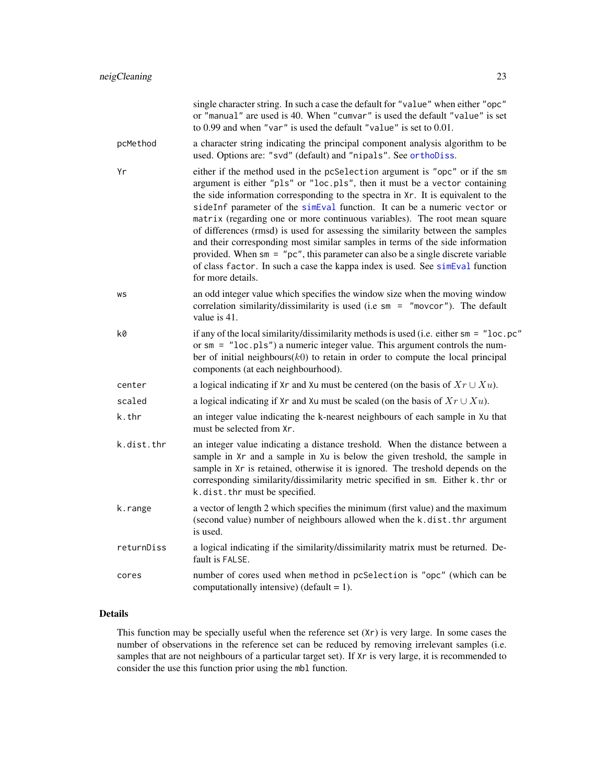<span id="page-22-0"></span>

|            | single character string. In such a case the default for "value" when either "opc"<br>or "manual" are used is 40. When "cumvar" is used the default "value" is set<br>to 0.99 and when "var" is used the default "value" is set to 0.01.                                                                                                                                                                                                                                                                                                                                                                                                                                                                                                                              |
|------------|----------------------------------------------------------------------------------------------------------------------------------------------------------------------------------------------------------------------------------------------------------------------------------------------------------------------------------------------------------------------------------------------------------------------------------------------------------------------------------------------------------------------------------------------------------------------------------------------------------------------------------------------------------------------------------------------------------------------------------------------------------------------|
| pcMethod   | a character string indicating the principal component analysis algorithm to be<br>used. Options are: "svd" (default) and "nipals". See orthoDiss.                                                                                                                                                                                                                                                                                                                                                                                                                                                                                                                                                                                                                    |
| Yr         | either if the method used in the pcSelection argument is "opc" or if the sm<br>argument is either "pls" or "loc.pls", then it must be a vector containing<br>the side information corresponding to the spectra in Xr. It is equivalent to the<br>sideInf parameter of the simEval function. It can be a numeric vector or<br>matrix (regarding one or more continuous variables). The root mean square<br>of differences (rmsd) is used for assessing the similarity between the samples<br>and their corresponding most similar samples in terms of the side information<br>provided. When $sm = "pc", this parameter can also be a single discrete variable$<br>of class factor. In such a case the kappa index is used. See simEval function<br>for more details. |
| WS         | an odd integer value which specifies the window size when the moving window<br>correlation similarity/dissimilarity is used (i.e $sm = "movcor")$ . The default<br>value is 41.                                                                                                                                                                                                                                                                                                                                                                                                                                                                                                                                                                                      |
| k0         | if any of the local similarity/dissimilarity methods is used (i.e. either $sm = "loc.pc"$<br>or $sm = "loc. pls")$ a numeric integer value. This argument controls the num-<br>ber of initial neighbours $(k0)$ to retain in order to compute the local principal<br>components (at each neighbourhood).                                                                                                                                                                                                                                                                                                                                                                                                                                                             |
| center     | a logical indicating if Xr and Xu must be centered (on the basis of $Xr \cup Xu$ ).                                                                                                                                                                                                                                                                                                                                                                                                                                                                                                                                                                                                                                                                                  |
| scaled     | a logical indicating if Xr and Xu must be scaled (on the basis of $Xr \cup Xu$ ).                                                                                                                                                                                                                                                                                                                                                                                                                                                                                                                                                                                                                                                                                    |
| k.thr      | an integer value indicating the k-nearest neighbours of each sample in Xu that<br>must be selected from Xr.                                                                                                                                                                                                                                                                                                                                                                                                                                                                                                                                                                                                                                                          |
| k.dist.thr | an integer value indicating a distance treshold. When the distance between a<br>sample in Xr and a sample in Xu is below the given treshold, the sample in<br>sample in Xr is retained, otherwise it is ignored. The treshold depends on the<br>corresponding similarity/dissimilarity metric specified in sm. Either k.thr or<br>k.dist.thr must be specified.                                                                                                                                                                                                                                                                                                                                                                                                      |
| k.range    | a vector of length 2 which specifies the minimum (first value) and the maximum<br>(second value) number of neighbours allowed when the k.dist.thr argument<br>is used.                                                                                                                                                                                                                                                                                                                                                                                                                                                                                                                                                                                               |
| returnDiss | a logical indicating if the similarity/dissimilarity matrix must be returned. De-<br>fault is FALSE.                                                                                                                                                                                                                                                                                                                                                                                                                                                                                                                                                                                                                                                                 |
| cores      | number of cores used when method in pcSelection is "opc" (which can be<br>computationally intensive) (default = $1$ ).                                                                                                                                                                                                                                                                                                                                                                                                                                                                                                                                                                                                                                               |

# Details

This function may be specially useful when the reference set (Xr) is very large. In some cases the number of observations in the reference set can be reduced by removing irrelevant samples (i.e. samples that are not neighbours of a particular target set). If Xr is very large, it is recommended to consider the use this function prior using the mbl function.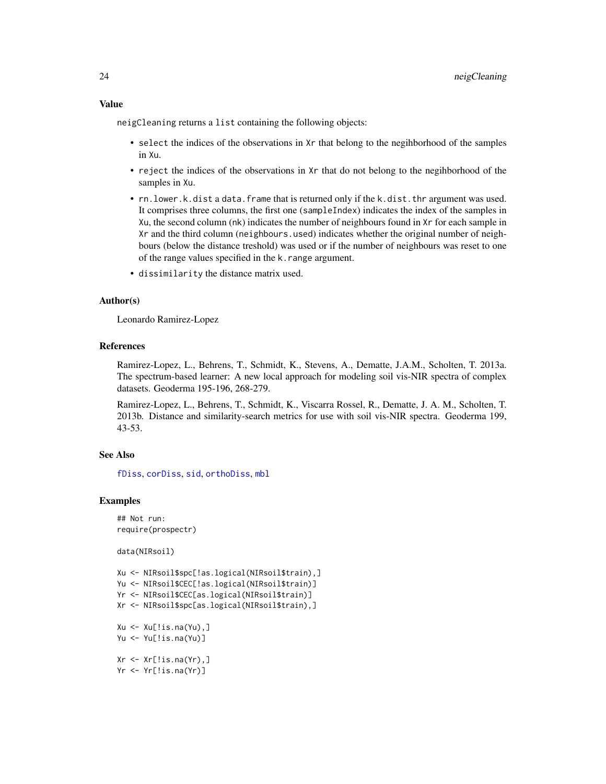<span id="page-23-0"></span>neigCleaning returns a list containing the following objects:

- select the indices of the observations in Xr that belong to the negihborhood of the samples in Xu.
- reject the indices of the observations in Xr that do not belong to the negihborhood of the samples in Xu.
- rn.lower.k.dist a data.frame that is returned only if the k.dist.thr argument was used. It comprises three columns, the first one (sampleIndex) indicates the index of the samples in Xu, the second column (nk) indicates the number of neighbours found in Xr for each sample in Xr and the third column (neighbours.used) indicates whether the original number of neighbours (below the distance treshold) was used or if the number of neighbours was reset to one of the range values specified in the k.range argument.
- dissimilarity the distance matrix used.

#### Author(s)

Leonardo Ramirez-Lopez

# References

Ramirez-Lopez, L., Behrens, T., Schmidt, K., Stevens, A., Dematte, J.A.M., Scholten, T. 2013a. The spectrum-based learner: A new local approach for modeling soil vis-NIR spectra of complex datasets. Geoderma 195-196, 268-279.

Ramirez-Lopez, L., Behrens, T., Schmidt, K., Viscarra Rossel, R., Dematte, J. A. M., Scholten, T. 2013b. Distance and similarity-search metrics for use with soil vis-NIR spectra. Geoderma 199, 43-53.

#### See Also

[fDiss](#page-3-1), [corDiss](#page-2-1), [sid](#page-37-1), [orthoDiss](#page-24-1), [mbl](#page-6-1)

#### Examples

## Not run: require(prospectr)

data(NIRsoil)

```
Xu <- NIRsoil$spc[!as.logical(NIRsoil$train),]
Yu <- NIRsoil$CEC[!as.logical(NIRsoil$train)]
Yr <- NIRsoil$CEC[as.logical(NIRsoil$train)]
Xr <- NIRsoil$spc[as.logical(NIRsoil$train),]
Xu <- Xu[!is.na(Yu),]
Yu <- Yu[!is.na(Yu)]
Xr \leftarrow Xr[!is.na(Yr),]Yr <- Yr[!is.na(Yr)]
```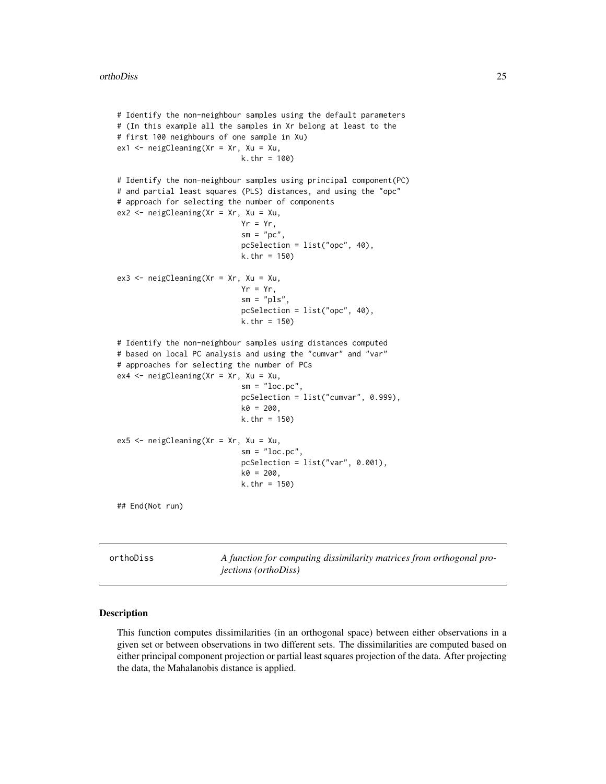```
# Identify the non-neighbour samples using the default parameters
# (In this example all the samples in Xr belong at least to the
# first 100 neighbours of one sample in Xu)
ex1 < - neigCleaning(Xr = Xr, Xu = Xu,
                            k.thr = 100)
# Identify the non-neighbour samples using principal component(PC)
# and partial least squares (PLS) distances, and using the "opc"
# approach for selecting the number of components
ex2 <- neigCleaning(Xr = Xr, Xu = Xu,
                            Yr = Yr,
                            sm = "pc",pcSelection = list("opc", 40),
                            k.thr = 150)
ex3 <- neigCleaning(Xr = Xr, Xu = Xu,
                            Yr = Yr,
                            sm = "pls",pcSelection = list("opc", 40),
                            k.thr = 150)
# Identify the non-neighbour samples using distances computed
# based on local PC analysis and using the "cumvar" and "var"
# approaches for selecting the number of PCs
ex4 <- neigCleaning(Xr = Xr, Xu = Xu,
                            sm = "loc.pc",pcSelection = list("cumvar", 0.999),
                            k0 = 200,
                            k.thr = 150)
ex5 < - neigCleaning(Xr = Xr, Xu = Xu,
                            sm = "loc.pc",pcSelection = list("var", 0.001),
                            k0 = 200,
                            k.thr = 150)
## End(Not run)
```
<span id="page-24-1"></span>orthoDiss *A function for computing dissimilarity matrices from orthogonal projections (orthoDiss)*

#### Description

This function computes dissimilarities (in an orthogonal space) between either observations in a given set or between observations in two different sets. The dissimilarities are computed based on either principal component projection or partial least squares projection of the data. After projecting the data, the Mahalanobis distance is applied.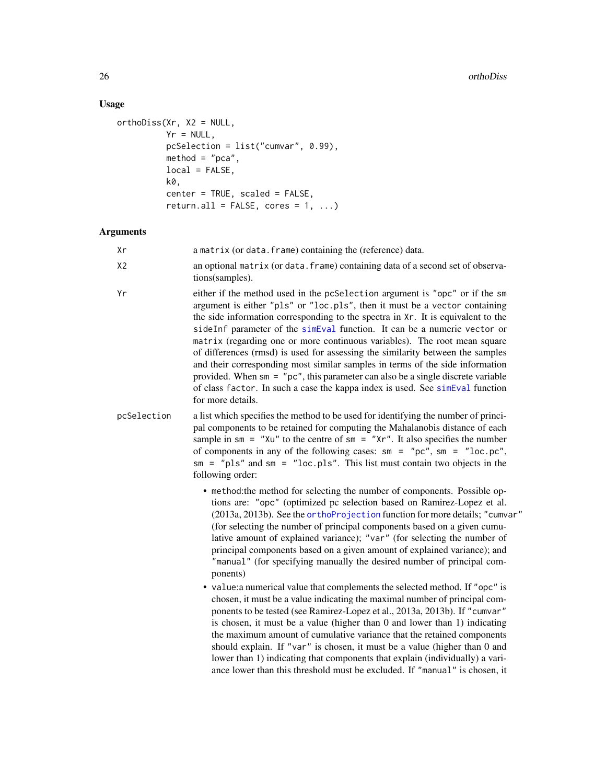# Usage

```
orthoDiss(Xr, X2 = NULL,
         Yr = NULL,pcSelection = list("cumvar", 0.99),
         method = "pca",local = FALSE,k0,
         center = TRUE, scaled = FALSE,
         return.all = FALSE, cores = 1, ...
```
# Arguments

| Xr             | a matrix (or data. frame) containing the (reference) data.                                                                                                                                                                                                                                                                                                                                                                                                                                                                                                                                                                                                                                                                                                         |
|----------------|--------------------------------------------------------------------------------------------------------------------------------------------------------------------------------------------------------------------------------------------------------------------------------------------------------------------------------------------------------------------------------------------------------------------------------------------------------------------------------------------------------------------------------------------------------------------------------------------------------------------------------------------------------------------------------------------------------------------------------------------------------------------|
| X <sub>2</sub> | an optional matrix (or data. frame) containing data of a second set of observa-<br>tions(samples).                                                                                                                                                                                                                                                                                                                                                                                                                                                                                                                                                                                                                                                                 |
| Yr             | either if the method used in the pcSelection argument is "opc" or if the sm<br>argument is either "pls" or "loc.pls", then it must be a vector containing<br>the side information corresponding to the spectra in Xr. It is equivalent to the<br>sideInf parameter of the simEval function. It can be a numeric vector or<br>matrix (regarding one or more continuous variables). The root mean square<br>of differences (rmsd) is used for assessing the similarity between the samples<br>and their corresponding most similar samples in terms of the side information<br>provided. When sm = "pc", this parameter can also be a single discrete variable<br>of class factor. In such a case the kappa index is used. See simEval function<br>for more details. |
| pcSelection    | a list which specifies the method to be used for identifying the number of princi-<br>pal components to be retained for computing the Mahalanobis distance of each<br>sample in sm = "Xu" to the centre of sm = "Xr". It also specifies the number<br>of components in any of the following cases: $sm = "pc", sm = "loc.pc",$<br>$sm = "pls"$ and $sm = "loc.pls".$ This list must contain two objects in the<br>following order:                                                                                                                                                                                                                                                                                                                                 |
|                | • method: the method for selecting the number of components. Possible op-<br>tions are: "opc" (optimized pc selection based on Ramirez-Lopez et al.<br>(2013a, 2013b). See the orthoProjection function for more details; "cumvar"<br>(for selecting the number of principal components based on a given cumu-<br>lative amount of explained variance); "var" (for selecting the number of<br>principal components based on a given amount of explained variance); and<br>"manual" (for specifying manually the desired number of principal com-<br>ponents)                                                                                                                                                                                                       |
|                | • value: a numerical value that complements the selected method. If "opc" is<br>chosen, it must be a value indicating the maximal number of principal com-<br>ponents to be tested (see Ramirez-Lopez et al., 2013a, 2013b). If "cumvar"<br>is chosen, it must be a value (higher than 0 and lower than 1) indicating<br>the maximum amount of cumulative variance that the retained components<br>should explain. If "var" is chosen, it must be a value (higher than 0 and<br>lower than 1) indicating that components that explain (individually) a vari-<br>ance lower than this threshold must be excluded. If "manual" is chosen, it                                                                                                                         |

<span id="page-25-0"></span>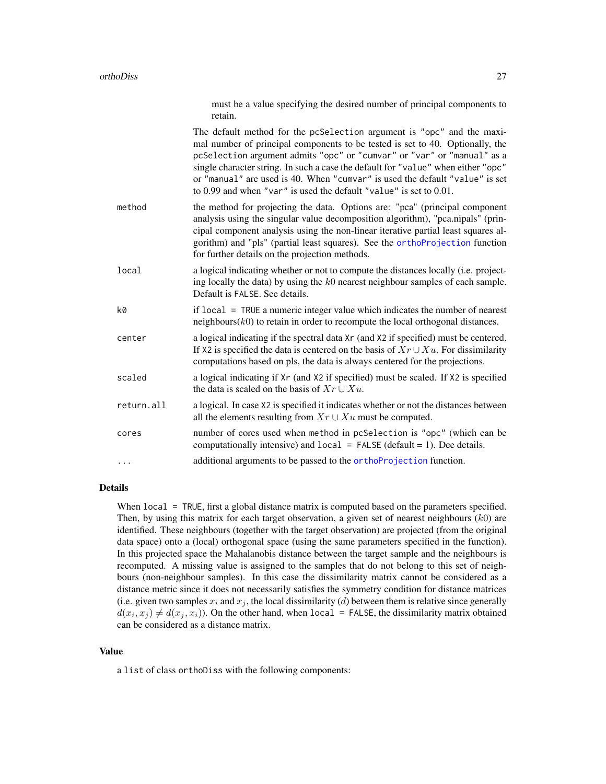|            | must be a value specifying the desired number of principal components to<br>retain.                                                                                                                                                                                                                                                                                                                                                                                           |
|------------|-------------------------------------------------------------------------------------------------------------------------------------------------------------------------------------------------------------------------------------------------------------------------------------------------------------------------------------------------------------------------------------------------------------------------------------------------------------------------------|
|            | The default method for the pcSelection argument is "opc" and the maxi-<br>mal number of principal components to be tested is set to 40. Optionally, the<br>pcSelection argument admits "opc" or "cumvar" or "var" or "manual" as a<br>single character string. In such a case the default for "value" when either "opc"<br>or "manual" are used is 40. When "cumvar" is used the default "value" is set<br>to 0.99 and when "var" is used the default "value" is set to 0.01. |
| method     | the method for projecting the data. Options are: "pca" (principal component<br>analysis using the singular value decomposition algorithm), "pca.nipals" (prin-<br>cipal component analysis using the non-linear iterative partial least squares al-<br>gorithm) and "pls" (partial least squares). See the orthoProjection function<br>for further details on the projection methods.                                                                                         |
| local      | a logical indicating whether or not to compute the distances locally (i.e. project-<br>ing locally the data) by using the $k0$ nearest neighbour samples of each sample.<br>Default is FALSE. See details.                                                                                                                                                                                                                                                                    |
| k0         | if local = TRUE a numeric integer value which indicates the number of nearest<br>$neighbours(k0)$ to retain in order to recompute the local orthogonal distances.                                                                                                                                                                                                                                                                                                             |
| center     | a logical indicating if the spectral data Xr (and X2 if specified) must be centered.<br>If X2 is specified the data is centered on the basis of $Xr \cup Xu$ . For dissimilarity<br>computations based on pls, the data is always centered for the projections.                                                                                                                                                                                                               |
| scaled     | a logical indicating if Xr (and X2 if specified) must be scaled. If X2 is specified<br>the data is scaled on the basis of $Xr \cup Xu$ .                                                                                                                                                                                                                                                                                                                                      |
| return.all | a logical. In case X2 is specified it indicates whether or not the distances between<br>all the elements resulting from $Xr \cup Xu$ must be computed.                                                                                                                                                                                                                                                                                                                        |
| cores      | number of cores used when method in pcSelection is "opc" (which can be<br>computationally intensive) and $local = FALSE$ (default = 1). Dee details.                                                                                                                                                                                                                                                                                                                          |
| .          | additional arguments to be passed to the orthoProjection function.                                                                                                                                                                                                                                                                                                                                                                                                            |
|            |                                                                                                                                                                                                                                                                                                                                                                                                                                                                               |

# Details

When local = TRUE, first a global distance matrix is computed based on the parameters specified. Then, by using this matrix for each target observation, a given set of nearest neighbours  $(k0)$  are identified. These neighbours (together with the target observation) are projected (from the original data space) onto a (local) orthogonal space (using the same parameters specified in the function). In this projected space the Mahalanobis distance between the target sample and the neighbours is recomputed. A missing value is assigned to the samples that do not belong to this set of neighbours (non-neighbour samples). In this case the dissimilarity matrix cannot be considered as a distance metric since it does not necessarily satisfies the symmetry condition for distance matrices (i.e. given two samples  $x_i$  and  $x_j$ , the local dissimilarity (d) between them is relative since generally  $d(x_i, x_j) \neq d(x_j, x_i)$ ). On the other hand, when local = FALSE, the dissimilarity matrix obtained can be considered as a distance matrix.

# Value

a list of class orthoDiss with the following components: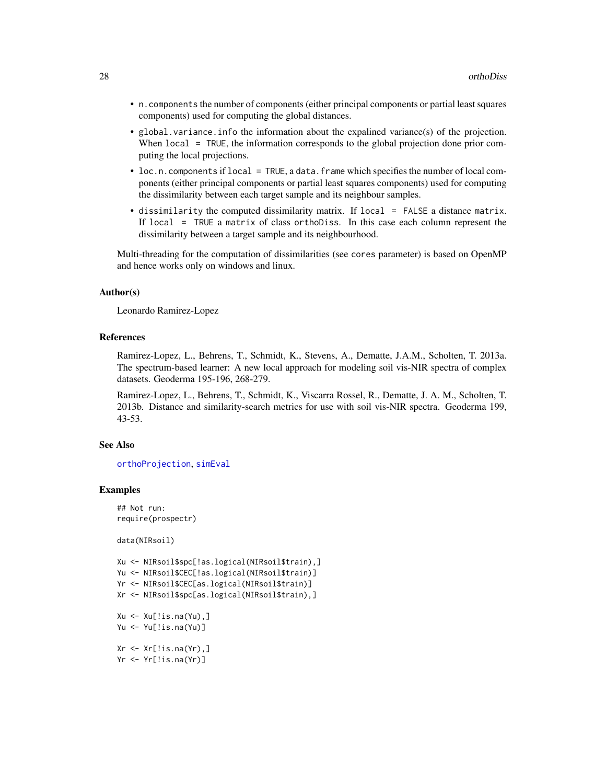- <span id="page-27-0"></span>• n.components the number of components (either principal components or partial least squares components) used for computing the global distances.
- global.variance.info the information about the expalined variance(s) of the projection. When local = TRUE, the information corresponds to the global projection done prior computing the local projections.
- loc.n.components if local = TRUE, a data.frame which specifies the number of local components (either principal components or partial least squares components) used for computing the dissimilarity between each target sample and its neighbour samples.
- dissimilarity the computed dissimilarity matrix. If local = FALSE a distance matrix. If local = TRUE a matrix of class orthoDiss. In this case each column represent the dissimilarity between a target sample and its neighbourhood.

Multi-threading for the computation of dissimilarities (see cores parameter) is based on OpenMP and hence works only on windows and linux.

#### Author(s)

Leonardo Ramirez-Lopez

#### References

Ramirez-Lopez, L., Behrens, T., Schmidt, K., Stevens, A., Dematte, J.A.M., Scholten, T. 2013a. The spectrum-based learner: A new local approach for modeling soil vis-NIR spectra of complex datasets. Geoderma 195-196, 268-279.

Ramirez-Lopez, L., Behrens, T., Schmidt, K., Viscarra Rossel, R., Dematte, J. A. M., Scholten, T. 2013b. Distance and similarity-search metrics for use with soil vis-NIR spectra. Geoderma 199, 43-53.

#### See Also

[orthoProjection](#page-28-1), [simEval](#page-40-1)

#### Examples

```
## Not run:
require(prospectr)
```
data(NIRsoil)

```
Xu <- NIRsoil$spc[!as.logical(NIRsoil$train),]
Yu <- NIRsoil$CEC[!as.logical(NIRsoil$train)]
Yr <- NIRsoil$CEC[as.logical(NIRsoil$train)]
Xr <- NIRsoil$spc[as.logical(NIRsoil$train),]
Xu \leftarrow Xu[!is.na(Yu),]Yu <- Yu[!is.na(Yu)]
```
 $Xr \leftarrow Xr[!is.na(Yr),]$ Yr <- Yr[!is.na(Yr)]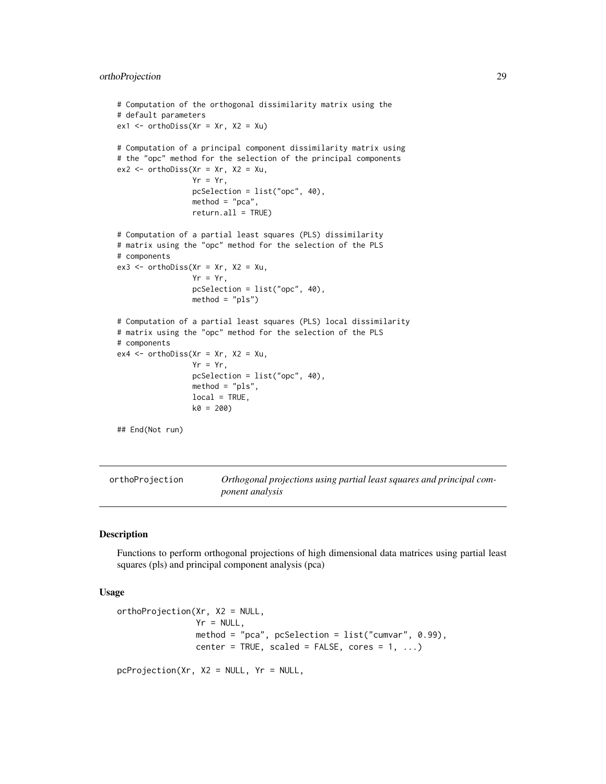# <span id="page-28-0"></span>orthoProjection 29

```
# Computation of the orthogonal dissimilarity matrix using the
# default parameters
ex1 < -ortholiss(Xr = Xr, X2 = Xu)# Computation of a principal component dissimilarity matrix using
# the "opc" method for the selection of the principal components
ex2 < - orthoDiss(Xr = xr, X2 = Xu,
                 Yr = Yr,
                 pcSelection = list("opc", 40),
                 method = "pca",return.all = TRUE)
# Computation of a partial least squares (PLS) dissimilarity
# matrix using the "opc" method for the selection of the PLS
# components
ex3 \le orthoDiss(Xr = xr, X2 = Xu,
                 Yr = Yr,
                 pcSelection = list("opc", 40),
                 method = "pls")# Computation of a partial least squares (PLS) local dissimilarity
# matrix using the "opc" method for the selection of the PLS
# components
ex4 \le orthoDiss(Xr = Xr, X2 = Xu,
                 Yr = Yr,
                 pcSelection = list("opc", 40),
                 method = "pls",
                 local = TRUE,
                 k0 = 200)
## End(Not run)
```

```
orthoProjection Orthogonal projections using partial least squares and principal com-
                        ponent analysis
```
# <span id="page-28-2"></span>**Description**

Functions to perform orthogonal projections of high dimensional data matrices using partial least squares (pls) and principal component analysis (pca)

# Usage

```
orthoProjection(Xr, X2 = NULL,
                Yr = NULL.
                method = "pca", pcSelection = list("cumvar", 0.99),
                center = TRUE, scaled = FALSE, cores = 1, ...)
```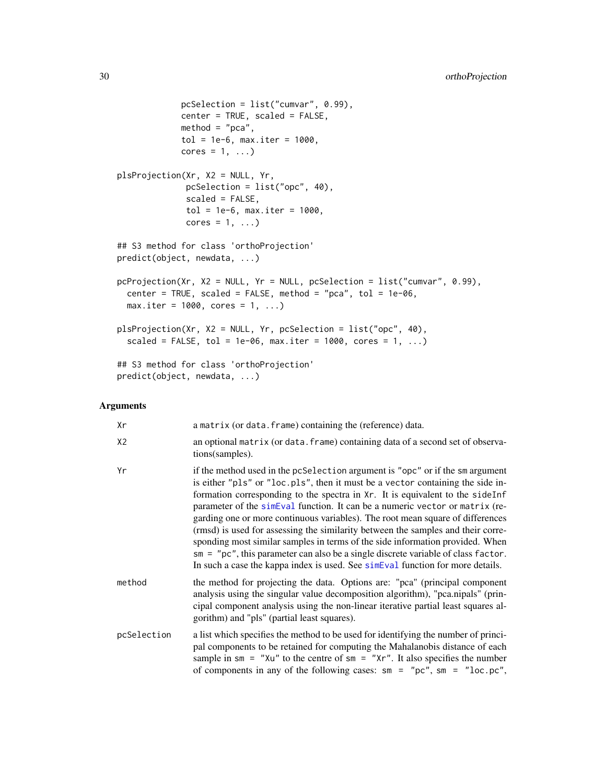```
pcSelection = list("cumvar", 0.99),
             center = TRUE, scaled = FALSE,
             method = "pca",tol = 1e-6, max.iter = 1000,
             cores = 1, \ldots)
plsProjection(Xr, X2 = NULL, Yr,
              pcSelection = list("opc", 40),
              scaled = FALSE,
              tol = 1e-6, max.iter = 1000,
              cores = 1, ...)
## S3 method for class 'orthoProjection'
predict(object, newdata, ...)
pcProjection(Xr, X2 = NULL, Yr = NULL, pcSelection = list("cumvar", 0.99),
 center = TRUE, scaled = FALSE, method = "pca", tol = 1e-06,
 max.iter = 1000, cores = 1, ...plsProjection(Xr, X2 = NULL, Yr, pcSelection = list("opc", 40),
  scaled = FALSE, tol = 1e-06, max.iter = 1000, cores = 1, ...)
## S3 method for class 'orthoProjection'
predict(object, newdata, ...)
```
# Arguments

| Xr             | a matrix (or data. frame) containing the (reference) data.                                                                                                                                                                                                                                                                                                                                                                                                                                                                                                                                                                                                                                                                                                        |
|----------------|-------------------------------------------------------------------------------------------------------------------------------------------------------------------------------------------------------------------------------------------------------------------------------------------------------------------------------------------------------------------------------------------------------------------------------------------------------------------------------------------------------------------------------------------------------------------------------------------------------------------------------------------------------------------------------------------------------------------------------------------------------------------|
| X <sub>2</sub> | an optional matrix (or data. frame) containing data of a second set of observa-<br>tions (samples).                                                                                                                                                                                                                                                                                                                                                                                                                                                                                                                                                                                                                                                               |
| Yr             | if the method used in the pcSelection argument is "opc" or if the sm argument<br>is either "pls" or "loc.pls", then it must be a vector containing the side in-<br>formation corresponding to the spectra in Xr. It is equivalent to the side Inf<br>parameter of the simeval function. It can be a numeric vector or matrix (re-<br>garding one or more continuous variables). The root mean square of differences<br>(rmsd) is used for assessing the similarity between the samples and their corre-<br>sponding most similar samples in terms of the side information provided. When<br>$sm = "pc", this parameter can also be a single discrete variable of class factor.$<br>In such a case the kappa index is used. See simeval function for more details. |
| method         | the method for projecting the data. Options are: "pca" (principal component<br>analysis using the singular value decomposition algorithm), "pca.nipals" (prin-<br>cipal component analysis using the non-linear iterative partial least squares al-<br>gorithm) and "pls" (partial least squares).                                                                                                                                                                                                                                                                                                                                                                                                                                                                |
| pcSelection    | a list which specifies the method to be used for identifying the number of princi-<br>pal components to be retained for computing the Mahalanobis distance of each<br>sample in $\text{sm} = "Xu"$ to the centre of $\text{sm} = "Xr".$ It also specifies the number<br>of components in any of the following cases: $\sin = \text{''pc}$ ", $\sin = \text{''loc.pc}$ ",                                                                                                                                                                                                                                                                                                                                                                                          |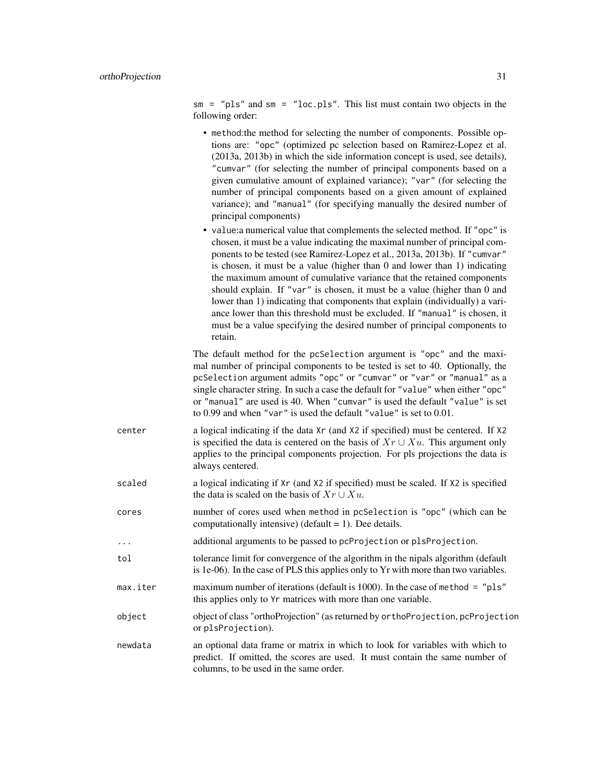sm = "pls" and sm = "loc.pls". This list must contain two objects in the following order:

- method:the method for selecting the number of components. Possible options are: "opc" (optimized pc selection based on Ramirez-Lopez et al. (2013a, 2013b) in which the side information concept is used, see details), "cumvar" (for selecting the number of principal components based on a given cumulative amount of explained variance); "var" (for selecting the number of principal components based on a given amount of explained variance); and "manual" (for specifying manually the desired number of principal components)
- value:a numerical value that complements the selected method. If "opc" is chosen, it must be a value indicating the maximal number of principal components to be tested (see Ramirez-Lopez et al., 2013a, 2013b). If "cumvar" is chosen, it must be a value (higher than 0 and lower than 1) indicating the maximum amount of cumulative variance that the retained components should explain. If "var" is chosen, it must be a value (higher than 0 and lower than 1) indicating that components that explain (individually) a variance lower than this threshold must be excluded. If "manual" is chosen, it must be a value specifying the desired number of principal components to retain.

The default method for the pcSelection argument is "opc" and the maximal number of principal components to be tested is set to 40. Optionally, the pcSelection argument admits "opc" or "cumvar" or "var" or "manual" as a single character string. In such a case the default for "value" when either "opc" or "manual" are used is 40. When "cumvar" is used the default "value" is set to 0.99 and when "var" is used the default "value" is set to 0.01.

- center a logical indicating if the data Xr (and X2 if specified) must be centered. If X2 is specified the data is centered on the basis of  $Xr \cup Xu$ . This argument only applies to the principal components projection. For pls projections the data is always centered.
- scaled a logical indicating if  $Xr$  (and X2 if specified) must be scaled. If X2 is specified the data is scaled on the basis of  $Xr \cup Xu$ .
- cores number of cores used when method in pcSelection is "opc" (which can be computationally intensive) (default  $= 1$ ). Dee details.
- ... additional arguments to be passed to pcProjection or plsProjection.
- tol tolerance limit for convergence of the algorithm in the nipals algorithm (default is 1e-06). In the case of PLS this applies only to Yr with more than two variables.
- max.iter maximum number of iterations (default is 1000). In the case of method = "pls" this applies only to Yr matrices with more than one variable.
- object object of class "orthoProjection" (as returned by orthoProjection, pcProjection or plsProjection).
- newdata an optional data frame or matrix in which to look for variables with which to predict. If omitted, the scores are used. It must contain the same number of columns, to be used in the same order.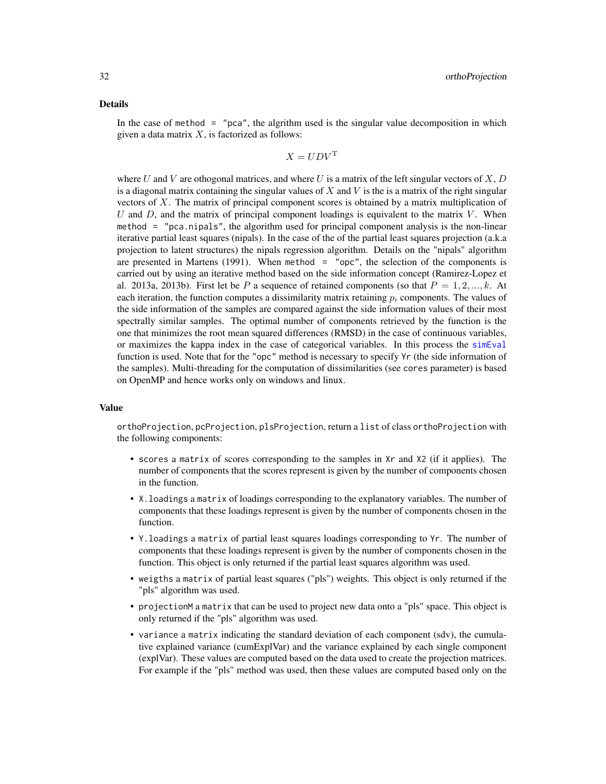#### <span id="page-31-0"></span>Details

In the case of method  $=$  "pca", the algrithm used is the singular value decomposition in which given a data matrix  $X$ , is factorized as follows:

$$
X = UDV^{\mathrm{T}}
$$

where U and V are othogonal matrices, and where U is a matrix of the left singular vectors of  $X, D$ is a diagonal matrix containing the singular values of  $X$  and  $V$  is the is a matrix of the right singular vectors of  $X$ . The matrix of principal component scores is obtained by a matrix multiplication of U and D, and the matrix of principal component loadings is equivalent to the matrix  $V$ . When method = "pca.nipals", the algorithm used for principal component analysis is the non-linear iterative partial least squares (nipals). In the case of the of the partial least squares projection (a.k.a projection to latent structures) the nipals regression algorithm. Details on the "nipals" algorithm are presented in Martens  $(1991)$ . When method = "opc", the selection of the components is carried out by using an iterative method based on the side information concept (Ramirez-Lopez et al. 2013a, 2013b). First let be P a sequence of retained components (so that  $P = 1, 2, ..., k$ . At each iteration, the function computes a dissimilarity matrix retaining  $p_i$  components. The values of the side information of the samples are compared against the side information values of their most spectrally similar samples. The optimal number of components retrieved by the function is the one that minimizes the root mean squared differences (RMSD) in the case of continuous variables, or maximizes the kappa index in the case of categorical variables. In this process the [simEval](#page-40-1) function is used. Note that for the "opc" method is necessary to specify Yr (the side information of the samples). Multi-threading for the computation of dissimilarities (see cores parameter) is based on OpenMP and hence works only on windows and linux.

#### Value

orthoProjection, pcProjection, plsProjection, return a list of class orthoProjection with the following components:

- scores a matrix of scores corresponding to the samples in Xr and X2 (if it applies). The number of components that the scores represent is given by the number of components chosen in the function.
- X.loadings a matrix of loadings corresponding to the explanatory variables. The number of components that these loadings represent is given by the number of components chosen in the function.
- Y.loadings a matrix of partial least squares loadings corresponding to Yr. The number of components that these loadings represent is given by the number of components chosen in the function. This object is only returned if the partial least squares algorithm was used.
- weigths a matrix of partial least squares ("pls") weights. This object is only returned if the "pls" algorithm was used.
- projectionM a matrix that can be used to project new data onto a "pls" space. This object is only returned if the "pls" algorithm was used.
- variance a matrix indicating the standard deviation of each component (sdv), the cumulative explained variance (cumExplVar) and the variance explained by each single component (explVar). These values are computed based on the data used to create the projection matrices. For example if the "pls" method was used, then these values are computed based only on the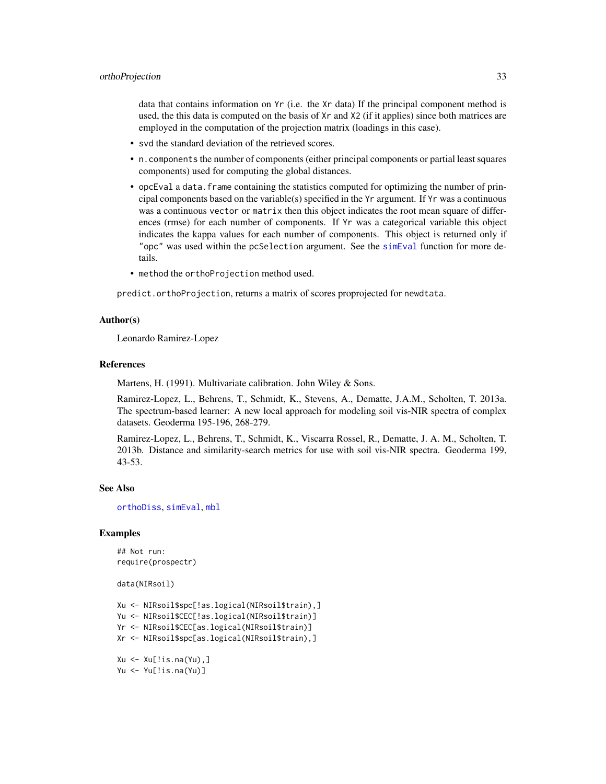<span id="page-32-0"></span>data that contains information on Yr (i.e. the Xr data) If the principal component method is used, the this data is computed on the basis of Xr and X2 (if it applies) since both matrices are employed in the computation of the projection matrix (loadings in this case).

- svd the standard deviation of the retrieved scores.
- n.components the number of components (either principal components or partial least squares components) used for computing the global distances.
- opcEval a data. frame containing the statistics computed for optimizing the number of principal components based on the variable(s) specified in the  $Yr$  argument. If  $Yr$  was a continuous was a continuous vector or matrix then this object indicates the root mean square of differences (rmse) for each number of components. If Yr was a categorical variable this object indicates the kappa values for each number of components. This object is returned only if "opc" was used within the pcSelection argument. See the [simEval](#page-40-1) function for more details.
- method the orthoProjection method used.

predict.orthoProjection, returns a matrix of scores proprojected for newdtata.

#### Author(s)

Leonardo Ramirez-Lopez

#### References

Martens, H. (1991). Multivariate calibration. John Wiley & Sons.

Ramirez-Lopez, L., Behrens, T., Schmidt, K., Stevens, A., Dematte, J.A.M., Scholten, T. 2013a. The spectrum-based learner: A new local approach for modeling soil vis-NIR spectra of complex datasets. Geoderma 195-196, 268-279.

Ramirez-Lopez, L., Behrens, T., Schmidt, K., Viscarra Rossel, R., Dematte, J. A. M., Scholten, T. 2013b. Distance and similarity-search metrics for use with soil vis-NIR spectra. Geoderma 199, 43-53.

#### See Also

[orthoDiss](#page-24-1), [simEval](#page-40-1), [mbl](#page-6-1)

#### Examples

## Not run: require(prospectr)

data(NIRsoil)

```
Xu <- NIRsoil$spc[!as.logical(NIRsoil$train),]
Yu <- NIRsoil$CEC[!as.logical(NIRsoil$train)]
Yr <- NIRsoil$CEC[as.logical(NIRsoil$train)]
```

```
Xr <- NIRsoil$spc[as.logical(NIRsoil$train),]
```

```
Xu \leftarrow Xu[!is.na(Yu),]Yu <- Yu[!is.na(Yu)]
```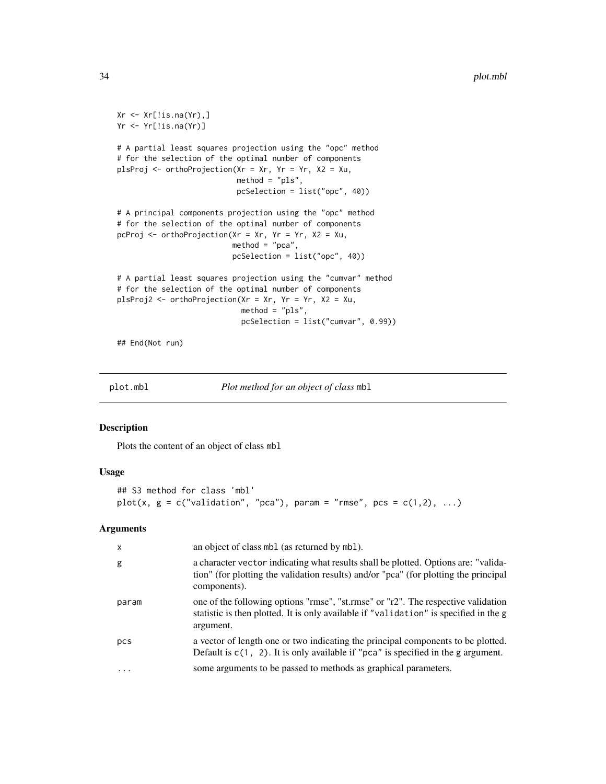```
Xr \leftarrow Xr[!is.na(Yr),]Yr <- Yr[!is.na(Yr)]
# A partial least squares projection using the "opc" method
# for the selection of the optimal number of components
plsProj <- orthoProjection(Xr = Xr, Yr = Yr, X2 = Xu,
                           method = "pls",
                           pcSelection = list("opc", 40))
# A principal components projection using the "opc" method
# for the selection of the optimal number of components
pcProj <- orthoProjection(Xr = xr, Yr = Yr, X2 = Xu,
                          method = "pca",pcSelection = list("opc", 40))
# A partial least squares projection using the "cumvar" method
# for the selection of the optimal number of components
plsProj2 <- orthoProjection(Xr = Xr, Yr = Yr, X2 = Xu,
                            method = "pls",
                            pcSelection = list("cumvar", 0.99))
```
## End(Not run)

<span id="page-33-1"></span>plot.mbl *Plot method for an object of class* mbl

#### Description

Plots the content of an object of class mbl

#### Usage

```
## S3 method for class 'mbl'
plot(x, g = c("validation", "pca"), param = "rmse", pcs = c(1,2), ...)
```
# Arguments

| $\mathsf{x}$ | an object of class mbl (as returned by mbl).                                                                                                                                               |
|--------------|--------------------------------------------------------------------------------------------------------------------------------------------------------------------------------------------|
| g            | a character vector indicating what results shall be plotted. Options are: "valida-<br>tion" (for plotting the validation results) and/or "pca" (for plotting the principal<br>components). |
| param        | one of the following options "rmse", "st.rmse" or "r2". The respective validation<br>statistic is then plotted. It is only available if "validation" is specified in the g<br>argument.    |
| pcs          | a vector of length one or two indicating the principal components to be plotted.<br>Default is $c(1, 2)$ . It is only available if "pca" is specified in the g argument.                   |
| $\ddots$     | some arguments to be passed to methods as graphical parameters.                                                                                                                            |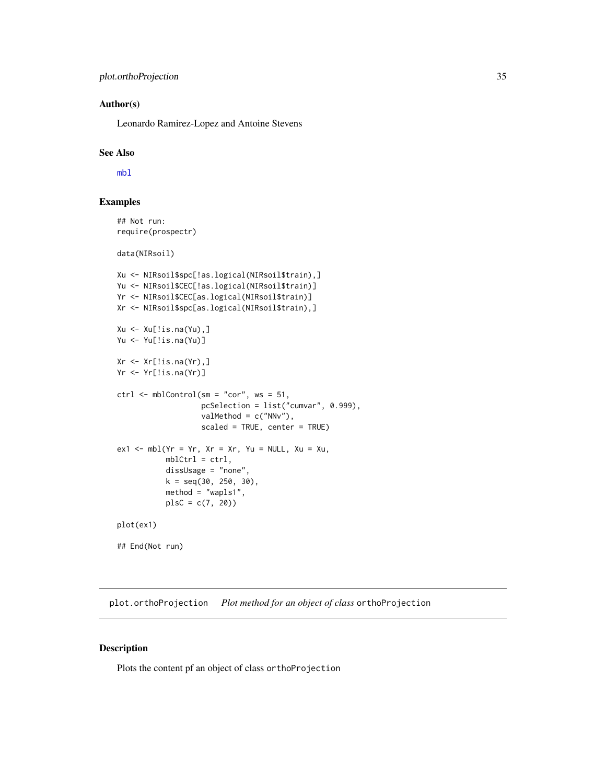# <span id="page-34-0"></span>Author(s)

Leonardo Ramirez-Lopez and Antoine Stevens

# See Also

[mbl](#page-6-1)

# Examples

## Not run: require(prospectr)

data(NIRsoil)

```
Xu <- NIRsoil$spc[!as.logical(NIRsoil$train),]
Yu <- NIRsoil$CEC[!as.logical(NIRsoil$train)]
Yr <- NIRsoil$CEC[as.logical(NIRsoil$train)]
Xr <- NIRsoil$spc[as.logical(NIRsoil$train),]
Xu \leftarrow Xu[!is.na(Yu),]Yu <- Yu[!is.na(Yu)]
Xr \leftarrow Xr[!is.na(Yr),]Yr <- Yr[!is.na(Yr)]
ctrl \leftarrow mblControl(sm = "cor", ws = 51,pcSelection = list("cumvar", 0.999),
                    valMethod = c("NNv"),
                    scaled = TRUE, center = TRUE)
ex1 < - mb1(Yr = Yr, Xr = Xr, Yu = NULL, Xu = Xu,mblCtrl = ctrl,dissUsage = "none",
           k = seq(30, 250, 30),
           method = "wapls1",
           plsC = c(7, 20)plot(ex1)
## End(Not run)
```
<span id="page-34-1"></span>plot.orthoProjection *Plot method for an object of class* orthoProjection

# Description

Plots the content pf an object of class orthoProjection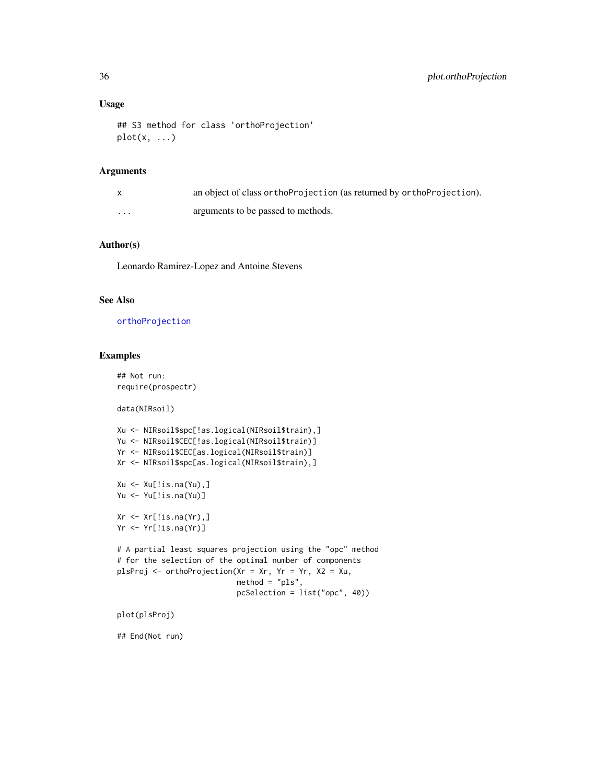#### Usage

```
## S3 method for class 'orthoProjection'
plot(x, \ldots)
```
# Arguments

|   | an object of class ortho Projection (as returned by ortho Projection). |
|---|------------------------------------------------------------------------|
| . | arguments to be passed to methods.                                     |

# Author(s)

Leonardo Ramirez-Lopez and Antoine Stevens

# See Also

[orthoProjection](#page-28-1)

# Examples

## Not run: require(prospectr)

data(NIRsoil)

```
Xu <- NIRsoil$spc[!as.logical(NIRsoil$train),]
Yu <- NIRsoil$CEC[!as.logical(NIRsoil$train)]
Yr <- NIRsoil$CEC[as.logical(NIRsoil$train)]
Xr <- NIRsoil$spc[as.logical(NIRsoil$train),]
Xu <- Xu[!is.na(Yu),]
Yu <- Yu[!is.na(Yu)]
Xr \leftarrow Xr[!is.na(Yr),]Yr <- Yr[!is.na(Yr)]
# A partial least squares projection using the "opc" method
```

```
# for the selection of the optimal number of components
plsProj <- orthoProjection(Xr = Xr, Yr = Yr, X2 = Xu,
                           method = "pls",
                           pcSelection = list("opc", 40))
```
plot(plsProj)

## End(Not run)

<span id="page-35-0"></span>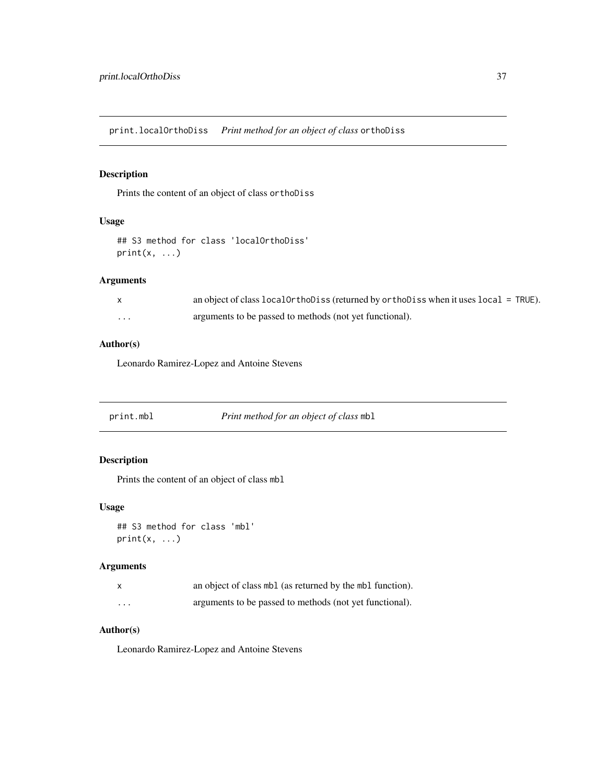<span id="page-36-1"></span><span id="page-36-0"></span>print.localOrthoDiss *Print method for an object of class* orthoDiss

# Description

Prints the content of an object of class orthoDiss

#### Usage

```
## S3 method for class 'localOrthoDiss'
print(x, \ldots)
```
# Arguments

| $\mathsf{X}$ | an object of class $localOrthoDiss$ (returned by orthobiss when it uses $local = TRUE$ ). |
|--------------|-------------------------------------------------------------------------------------------|
| .            | arguments to be passed to methods (not yet functional).                                   |

# Author(s)

Leonardo Ramirez-Lopez and Antoine Stevens

<span id="page-36-2"></span>

| print.mbl | <i>Print method for an object of class mbl</i> |  |
|-----------|------------------------------------------------|--|
|           |                                                |  |

# Description

Prints the content of an object of class mbl

# Usage

```
## S3 method for class 'mbl'
print(x, \ldots)
```
# Arguments

| X | an object of class mbl (as returned by the mbl function). |
|---|-----------------------------------------------------------|
| . | arguments to be passed to methods (not yet functional).   |

# Author(s)

Leonardo Ramirez-Lopez and Antoine Stevens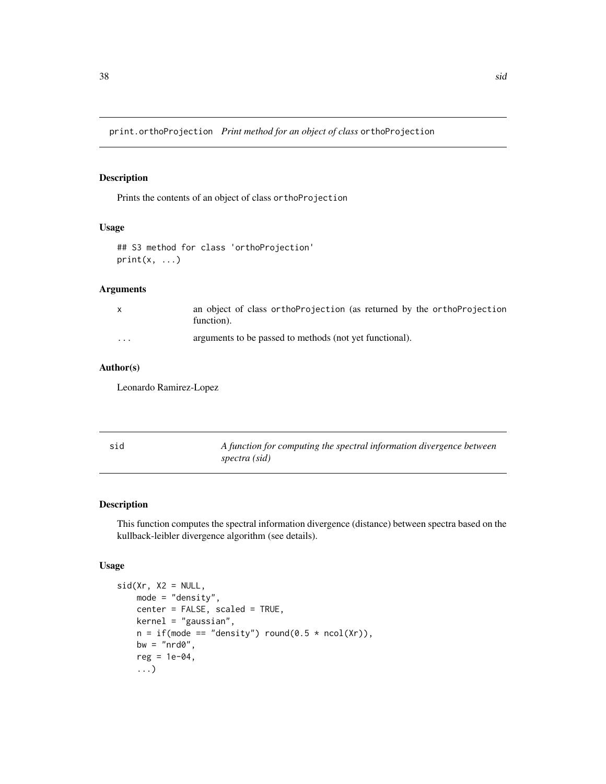<span id="page-37-2"></span><span id="page-37-0"></span>print.orthoProjection *Print method for an object of class* orthoProjection

# Description

Prints the contents of an object of class orthoProjection

# Usage

```
## S3 method for class 'orthoProjection'
print(x, \ldots)
```
# Arguments

|                         | an object of class orthoProjection (as returned by the orthoProjection<br>function). |
|-------------------------|--------------------------------------------------------------------------------------|
| $\cdot$ $\cdot$ $\cdot$ | arguments to be passed to methods (not yet functional).                              |

# Author(s)

Leonardo Ramirez-Lopez

<span id="page-37-1"></span>

| sid | A function for computing the spectral information divergence between |
|-----|----------------------------------------------------------------------|
|     | spectra (sid)                                                        |

# Description

This function computes the spectral information divergence (distance) between spectra based on the kullback-leibler divergence algorithm (see details).

# Usage

```
sid(Xr, X2 = NULL,mode = "density",
   center = FALSE, scaled = TRUE,
   kernel = "gaussian",
   n = if (mode == "density") round(0.5 * ncol(Xr)),bw = "nrd0",reg = 1e-04,...)
```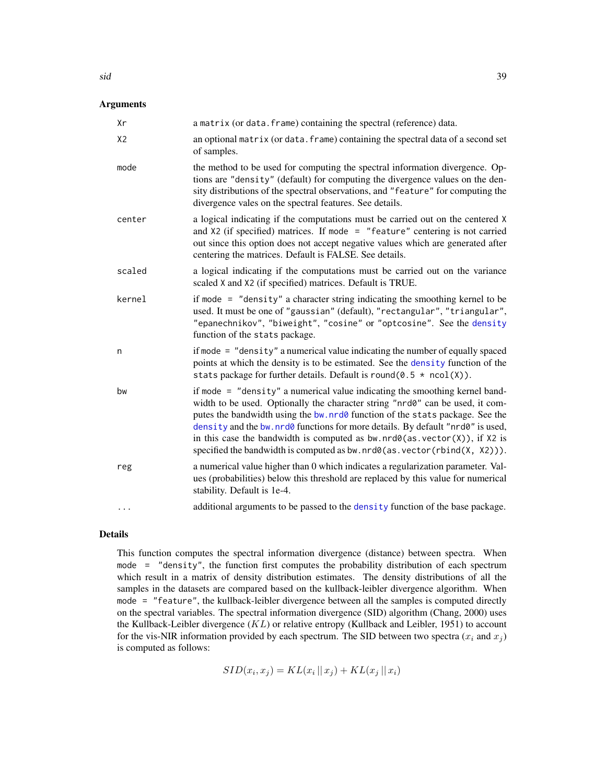# <span id="page-38-0"></span>Arguments

| Хr             | a matrix (or data. frame) containing the spectral (reference) data.                                                                                                                                                                                                                                                                                                                                                                                                                                   |
|----------------|-------------------------------------------------------------------------------------------------------------------------------------------------------------------------------------------------------------------------------------------------------------------------------------------------------------------------------------------------------------------------------------------------------------------------------------------------------------------------------------------------------|
| X <sub>2</sub> | an optional matrix (or data. frame) containing the spectral data of a second set<br>of samples.                                                                                                                                                                                                                                                                                                                                                                                                       |
| mode           | the method to be used for computing the spectral information divergence. Op-<br>tions are "density" (default) for computing the divergence values on the den-<br>sity distributions of the spectral observations, and "feature" for computing the<br>divergence vales on the spectral features. See details.                                                                                                                                                                                          |
| center         | a logical indicating if the computations must be carried out on the centered X<br>and $X2$ (if specified) matrices. If mode = "feature" centering is not carried<br>out since this option does not accept negative values which are generated after<br>centering the matrices. Default is FALSE. See details.                                                                                                                                                                                         |
| scaled         | a logical indicating if the computations must be carried out on the variance<br>scaled X and X2 (if specified) matrices. Default is TRUE.                                                                                                                                                                                                                                                                                                                                                             |
| kernel         | if mode $=$ "density" a character string indicating the smoothing kernel to be<br>used. It must be one of "gaussian" (default), "rectangular", "triangular",<br>"epanechnikov", "biweight", "cosine" or "optcosine". See the density<br>function of the stats package.                                                                                                                                                                                                                                |
| n              | if mode = "density" a numerical value indicating the number of equally spaced<br>points at which the density is to be estimated. See the density function of the<br>stats package for further details. Default is round( $0.5 * \text{ncol}(X)$ ).                                                                                                                                                                                                                                                    |
| bw             | if mode = "density" a numerical value indicating the smoothing kernel band-<br>width to be used. Optionally the character string "nrd0" can be used, it com-<br>putes the bandwidth using the bw. nrd0 function of the stats package. See the<br>density and the bw. nrd0 functions for more details. By default "nrd0" is used,<br>in this case the bandwidth is computed as $bw$ . $nrd@(as. vector(X))$ , if X2 is<br>specified the bandwidth is computed as bw. $nrd0(as. vector(rbind(X, X2))).$ |
| reg            | a numerical value higher than 0 which indicates a regularization parameter. Val-<br>ues (probabilities) below this threshold are replaced by this value for numerical<br>stability. Default is 1e-4.                                                                                                                                                                                                                                                                                                  |
| $\cdots$       | additional arguments to be passed to the density function of the base package.                                                                                                                                                                                                                                                                                                                                                                                                                        |

# Details

This function computes the spectral information divergence (distance) between spectra. When mode = "density", the function first computes the probability distribution of each spectrum which result in a matrix of density distribution estimates. The density distributions of all the samples in the datasets are compared based on the kullback-leibler divergence algorithm. When mode = "feature", the kullback-leibler divergence between all the samples is computed directly on the spectral variables. The spectral information divergence (SID) algorithm (Chang, 2000) uses the Kullback-Leibler divergence  $(KL)$  or relative entropy (Kullback and Leibler, 1951) to account for the vis-NIR information provided by each spectrum. The SID between two spectra  $(x_i$  and  $x_j)$ is computed as follows:

 $SID(x_i, x_j) = KL(x_i || x_j) + KL(x_j || x_i)$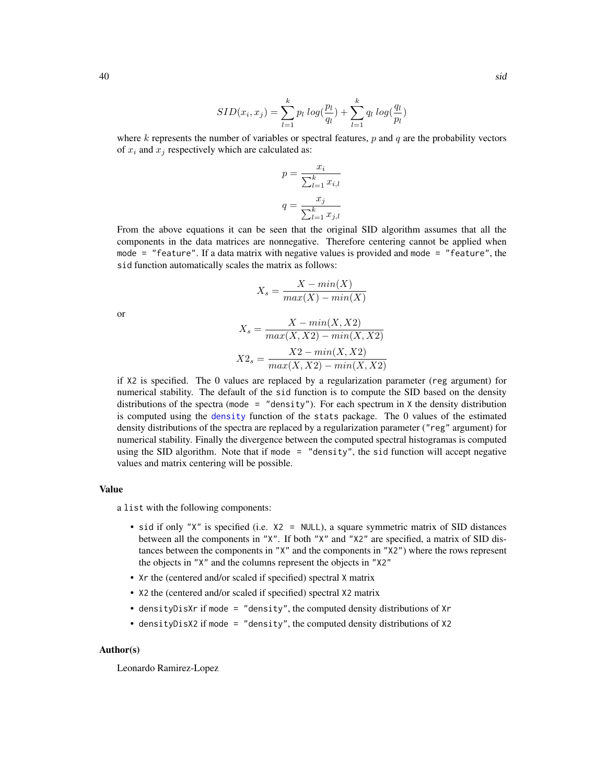$$
SID(x_i, x_j) = \sum_{l=1}^{k} p_l log(\frac{p_l}{q_l}) + \sum_{l=1}^{k} q_l log(\frac{q_l}{p_l})
$$

where k represents the number of variables or spectral features,  $p$  and  $q$  are the probability vectors of  $x_i$  and  $x_j$  respectively which are calculated as:

$$
p = \frac{x_i}{\sum_{l=1}^k x_{i,l}}
$$

$$
q = \frac{x_j}{\sum_{l=1}^k x_{j,l}}
$$

From the above equations it can be seen that the original SID algorithm assumes that all the components in the data matrices are nonnegative. Therefore centering cannot be applied when mode = "feature". If a data matrix with negative values is provided and mode = "feature", the sid function automatically scales the matrix as follows:

$$
X_s = \frac{X - min(X)}{max(X) - min(X)}
$$

or

$$
X_s = \frac{X - min(X, X2)}{max(X, X2) - min(X, X2)}
$$

$$
X2_s = \frac{X2 - min(X, X2)}{max(X, X2) - min(X, X2)}
$$

if X2 is specified. The 0 values are replaced by a regularization parameter (reg argument) for numerical stability. The default of the sid function is to compute the SID based on the density distributions of the spectra (mode = "density"). For each spectrum in  $X$  the density distribution is computed using the [density](#page-0-0) function of the stats package. The 0 values of the estimated density distributions of the spectra are replaced by a regularization parameter ("reg" argument) for numerical stability. Finally the divergence between the computed spectral histogramas is computed using the SID algorithm. Note that if mode = "density", the sid function will accept negative values and matrix centering will be possible.

# Value

a list with the following components:

- sid if only "X" is specified (i.e. X2 = NULL), a square symmetric matrix of SID distances between all the components in "X". If both "X" and "X2" are specified, a matrix of SID distances between the components in "X" and the components in "X2") where the rows represent the objects in "X" and the columns represent the objects in "X2"
- Xr the (centered and/or scaled if specified) spectral X matrix
- X2 the (centered and/or scaled if specified) spectral X2 matrix
- densityDisXr if mode = "density", the computed density distributions of Xr
- densityDisX2 if mode = "density", the computed density distributions of X2

#### Author(s)

Leonardo Ramirez-Lopez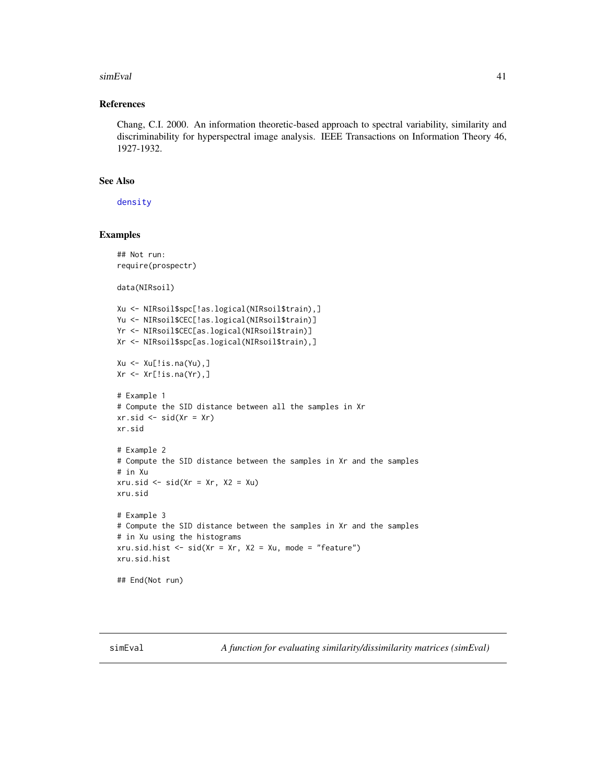#### <span id="page-40-0"></span>simEval 41

# References

Chang, C.I. 2000. An information theoretic-based approach to spectral variability, similarity and discriminability for hyperspectral image analysis. IEEE Transactions on Information Theory 46, 1927-1932.

# See Also

[density](#page-0-0)

# Examples

```
## Not run:
require(prospectr)
data(NIRsoil)
Xu <- NIRsoil$spc[!as.logical(NIRsoil$train),]
Yu <- NIRsoil$CEC[!as.logical(NIRsoil$train)]
Yr <- NIRsoil$CEC[as.logical(NIRsoil$train)]
Xr <- NIRsoil$spc[as.logical(NIRsoil$train),]
Xu \leftarrow Xu[!is.na(Yu),]Xr <- Xr[!is.na(Yr),]
# Example 1
# Compute the SID distance between all the samples in Xr
xr.sid \leftarrow sid(Xr = Xr)xr.sid
# Example 2
# Compute the SID distance between the samples in Xr and the samples
# in Xu
xru.sid \le sid(Xr = xr, X2 = Xu)
xru.sid
# Example 3
# Compute the SID distance between the samples in Xr and the samples
# in Xu using the histograms
xru.sid.hist \leq sid(Xr = Xr, X2 = Xu, mode = "feature")xru.sid.hist
## End(Not run)
```
<span id="page-40-1"></span>simEval *A function for evaluating similarity/dissimilarity matrices (simEval)*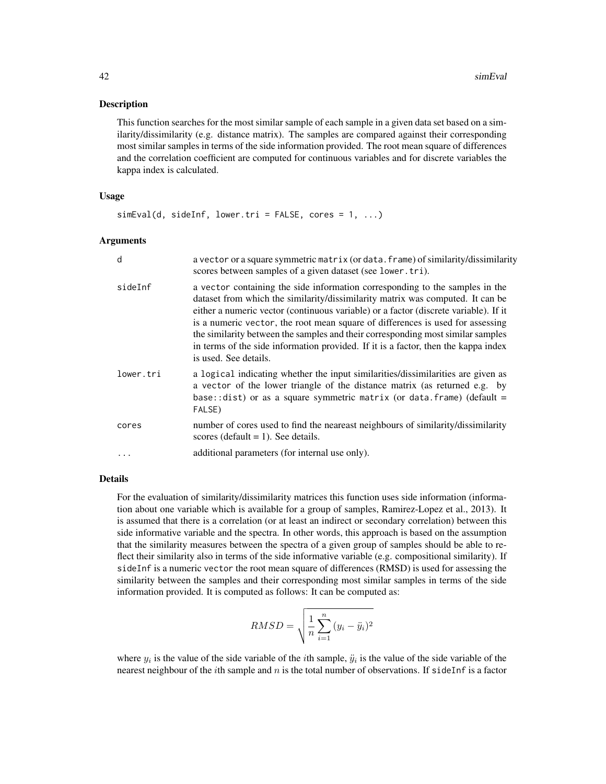### Description

This function searches for the most similar sample of each sample in a given data set based on a similarity/dissimilarity (e.g. distance matrix). The samples are compared against their corresponding most similar samples in terms of the side information provided. The root mean square of differences and the correlation coefficient are computed for continuous variables and for discrete variables the kappa index is calculated.

#### Usage

 $simEval(d, sideInf, lower.tri = FALSE, cores = 1, ...)$ 

#### Arguments

| d         | a vector or a square symmetric matrix (or data. frame) of similarity/dissimilarity<br>scores between samples of a given dataset (see lower.tri).                                                                                                                                                                                                                                                                                                                                                                                           |
|-----------|--------------------------------------------------------------------------------------------------------------------------------------------------------------------------------------------------------------------------------------------------------------------------------------------------------------------------------------------------------------------------------------------------------------------------------------------------------------------------------------------------------------------------------------------|
| sideInf   | a vector containing the side information corresponding to the samples in the<br>dataset from which the similarity/dissimilarity matrix was computed. It can be<br>either a numeric vector (continuous variable) or a factor (discrete variable). If it<br>is a numeric vector, the root mean square of differences is used for assessing<br>the similarity between the samples and their corresponding most similar samples<br>in terms of the side information provided. If it is a factor, then the kappa index<br>is used. See details. |
| lower.tri | a logical indicating whether the input similarities/dissimilarities are given as<br>a vector of the lower triangle of the distance matrix (as returned e.g. by<br>base:: dist) or as a square symmetric matrix (or data. frame) (default =<br>FALSE)                                                                                                                                                                                                                                                                                       |
| cores     | number of cores used to find the neareast neighbours of similarity/dissimilarity<br>scores (default $= 1$ ). See details.                                                                                                                                                                                                                                                                                                                                                                                                                  |
|           | additional parameters (for internal use only).                                                                                                                                                                                                                                                                                                                                                                                                                                                                                             |

# Details

For the evaluation of similarity/dissimilarity matrices this function uses side information (information about one variable which is available for a group of samples, Ramirez-Lopez et al., 2013). It is assumed that there is a correlation (or at least an indirect or secondary correlation) between this side informative variable and the spectra. In other words, this approach is based on the assumption that the similarity measures between the spectra of a given group of samples should be able to reflect their similarity also in terms of the side informative variable (e.g. compositional similarity). If sideInf is a numeric vector the root mean square of differences (RMSD) is used for assessing the similarity between the samples and their corresponding most similar samples in terms of the side information provided. It is computed as follows: It can be computed as:

$$
RMSD = \sqrt{\frac{1}{n} \sum_{i=1}^{n} (y_i - \ddot{y}_i)^2}
$$

where  $y_i$  is the value of the side variable of the *i*th sample,  $\ddot{y}_i$  is the value of the side variable of the nearest neighbour of the *i*th sample and  $n$  is the total number of observations. If sideInf is a factor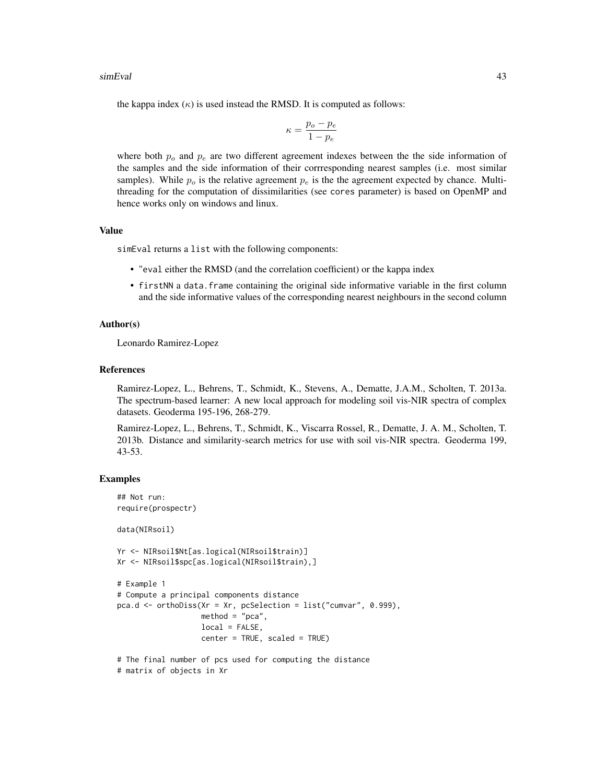#### simEval 43

the kappa index  $(\kappa)$  is used instead the RMSD. It is computed as follows:

$$
\kappa = \frac{p_o - p_e}{1 - p_e}
$$

where both  $p<sub>o</sub>$  and  $p<sub>e</sub>$  are two different agreement indexes between the the side information of the samples and the side information of their corrresponding nearest samples (i.e. most similar samples). While  $p<sub>o</sub>$  is the relative agreement  $p<sub>e</sub>$  is the the agreement expected by chance. Multithreading for the computation of dissimilarities (see cores parameter) is based on OpenMP and hence works only on windows and linux.

# Value

simEval returns a list with the following components:

- "eval either the RMSD (and the correlation coefficient) or the kappa index
- firstNN a data.frame containing the original side informative variable in the first column and the side informative values of the corresponding nearest neighbours in the second column

# Author(s)

Leonardo Ramirez-Lopez

#### References

Ramirez-Lopez, L., Behrens, T., Schmidt, K., Stevens, A., Dematte, J.A.M., Scholten, T. 2013a. The spectrum-based learner: A new local approach for modeling soil vis-NIR spectra of complex datasets. Geoderma 195-196, 268-279.

Ramirez-Lopez, L., Behrens, T., Schmidt, K., Viscarra Rossel, R., Dematte, J. A. M., Scholten, T. 2013b. Distance and similarity-search metrics for use with soil vis-NIR spectra. Geoderma 199, 43-53.

# Examples

```
## Not run:
require(prospectr)
```
data(NIRsoil)

```
Yr <- NIRsoil$Nt[as.logical(NIRsoil$train)]
Xr <- NIRsoil$spc[as.logical(NIRsoil$train),]
```

```
# Example 1
```

```
# Compute a principal components distance
pca.d <- orthoDiss(Xr = Xr, pcSelection = list("cumvar", 0.999),
                  method = "pca",local = FALSE,
                  center = TRUE, scaled = TRUE)
```

```
# The final number of pcs used for computing the distance
# matrix of objects in Xr
```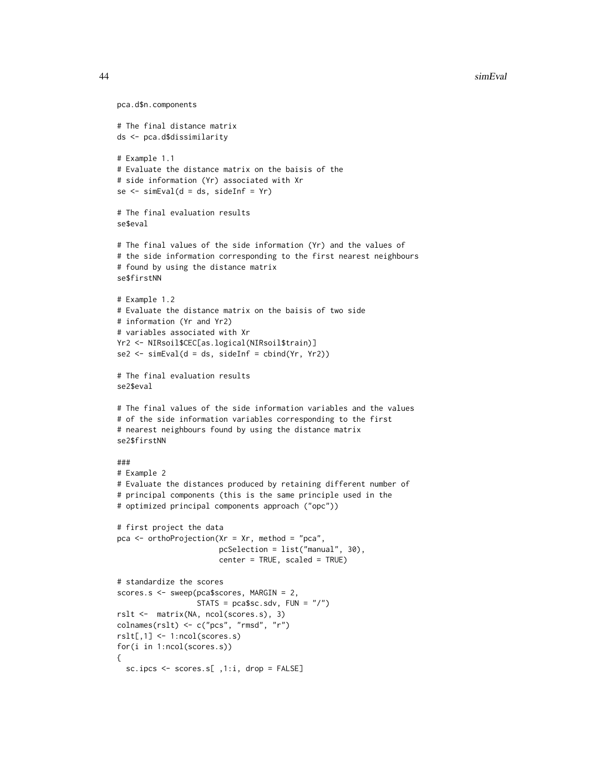#### 44 simEval simEval simEval simEval simEval simEval simEval simEval simEval simEval simEval simEval simEval simEval

```
pca.d$n.components
# The final distance matrix
ds <- pca.d$dissimilarity
# Example 1.1
# Evaluate the distance matrix on the baisis of the
# side information (Yr) associated with Xr
se < - \text{simEval}(d = ds, \text{ sideInf} = Yr)# The final evaluation results
se$eval
# The final values of the side information (Yr) and the values of
# the side information corresponding to the first nearest neighbours
# found by using the distance matrix
se$firstNN
# Example 1.2
# Evaluate the distance matrix on the baisis of two side
# information (Yr and Yr2)
# variables associated with Xr
Yr2 <- NIRsoil$CEC[as.logical(NIRsoil$train)]
se2 \leq simEval(d = ds, sideInf = cbind(Yr, Yr2))
# The final evaluation results
se2$eval
# The final values of the side information variables and the values
# of the side information variables corresponding to the first
# nearest neighbours found by using the distance matrix
se2$firstNN
###
# Example 2
# Evaluate the distances produced by retaining different number of
# principal components (this is the same principle used in the
# optimized principal components approach ("opc"))
# first project the data
pca <- orthoProjection(Xr = Xr, method = "pca",
                       pcSelection = list("manual", 30),
                       center = TRUE, scaled = TRUE)
# standardize the scores
scores.s <- sweep(pca$scores, MARGIN = 2,
                  STATS = pca$sc.sdv, FUN = "<math>'</math>")rslt <- matrix(NA, ncol(scores.s), 3)
colnames(rslt) <- c("pcs", "rmsd", "r")
rslt[,1] <- 1:ncol(scores.s)
for(i in 1:ncol(scores.s))
{
  sc.ipcs <- scores.s[ ,1:i, drop = FALSE]
```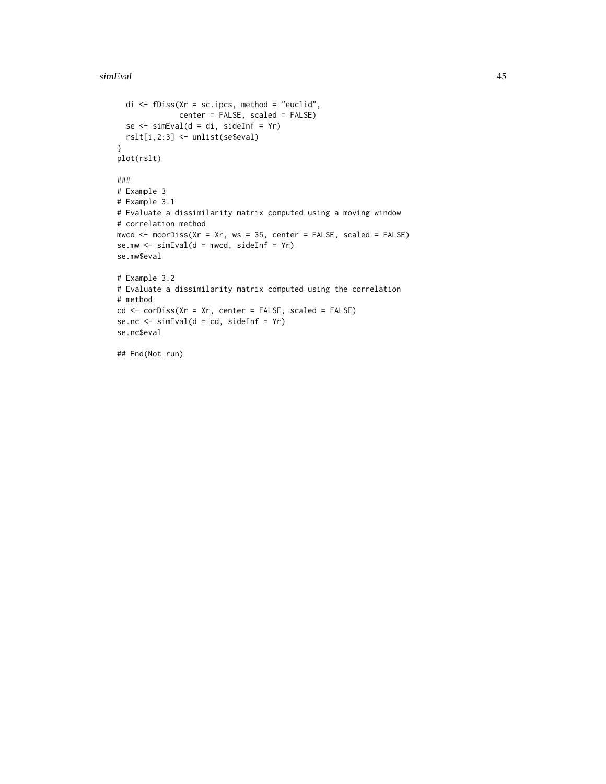#### simEval 45

```
di \leq fDiss(Xr = sc.ipcs, method = "euclid",
             center = FALSE, scaled = FALSE)
 se <- simEval(d = di, sideInf = Yr)
 rslt[i,2:3] <- unlist(se$eval)
}
plot(rslt)
###
# Example 3
# Example 3.1
# Evaluate a dissimilarity matrix computed using a moving window
# correlation method
mwcd \leq mcorDiss(Xr = Xr, ws = 35, center = FALSE, scaled = FALSE)
se.mw \le simEval(d = mwcd, sideInf = Yr)
se.mw$eval
# Example 3.2
# Evaluate a dissimilarity matrix computed using the correlation
# method
cd <- corDiss(Xr = Xr, center = FALSE, scaled = FALSE)
se.nc <- simEval(d = cd, sideInf = Yr)
se.nc$eval
```

```
## End(Not run)
```